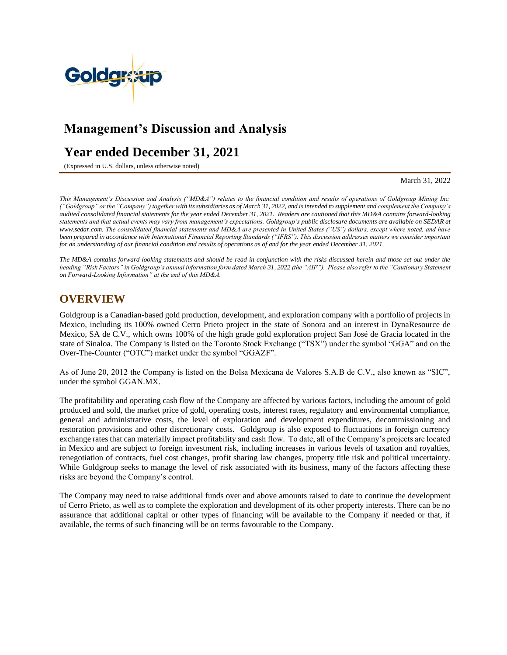

# **Management's Discussion and Analysis**

# **Year ended December 31, 2021**

(Expressed in U.S. dollars, unless otherwise noted)

March 31, 2022

*This Management's Discussion and Analysis ("MD&A") relates to the financial condition and results of operations of Goldgroup Mining Inc. ("Goldgroup" or the "Company") together with its subsidiaries as of March 31, 2022, and is intended to supplement and complement the Company's audited consolidated financial statements for the year ended December 31, 2021. Readers are cautioned that this MD&A contains forward-looking statements and that actual events may vary from management's expectations. Goldgroup's public disclosure documents are available on SEDAR at [www.sedar.com.](http://www.sedar.com/) The consolidated financial statements and MD&A are presented in United States ("US") dollars, except where noted, and have been prepared in accordance with International Financial Reporting Standards ("IFRS"). This discussion addresses matters we consider important for an understanding of our financial condition and results of operations as of and for the year ended December 31, 2021.*

*The MD&A contains forward-looking statements and should be read in conjunction with the risks discussed herein and those set out under the heading "Risk Factors" in Goldgroup's annual information form dated March 31, 2022 (the "AIF"). Please also refer to the "Cautionary Statement on Forward-Looking Information" at the end of this MD&A.*

# **OVERVIEW**

Goldgroup is a Canadian-based gold production, development, and exploration company with a portfolio of projects in Mexico, including its 100% owned Cerro Prieto project in the state of Sonora and an interest in DynaResource de Mexico, SA de C.V., which owns 100% of the high grade gold exploration project San José de Gracia located in the state of Sinaloa. The Company is listed on the Toronto Stock Exchange ("TSX") under the symbol "GGA" and on the Over-The-Counter ("OTC") market under the symbol "GGAZF".

As of June 20, 2012 the Company is listed on the Bolsa Mexicana de Valores S.A.B de C.V., also known as "SIC", under the symbol GGAN.MX.

The profitability and operating cash flow of the Company are affected by various factors, including the amount of gold produced and sold, the market price of gold, operating costs, interest rates, regulatory and environmental compliance, general and administrative costs, the level of exploration and development expenditures, decommissioning and restoration provisions and other discretionary costs. Goldgroup is also exposed to fluctuations in foreign currency exchange rates that can materially impact profitability and cash flow. To date, all of the Company's projects are located in Mexico and are subject to foreign investment risk, including increases in various levels of taxation and royalties, renegotiation of contracts, fuel cost changes, profit sharing law changes, property title risk and political uncertainty. While Goldgroup seeks to manage the level of risk associated with its business, many of the factors affecting these risks are beyond the Company's control.

The Company may need to raise additional funds over and above amounts raised to date to continue the development of Cerro Prieto, as well as to complete the exploration and development of its other property interests. There can be no assurance that additional capital or other types of financing will be available to the Company if needed or that, if available, the terms of such financing will be on terms favourable to the Company.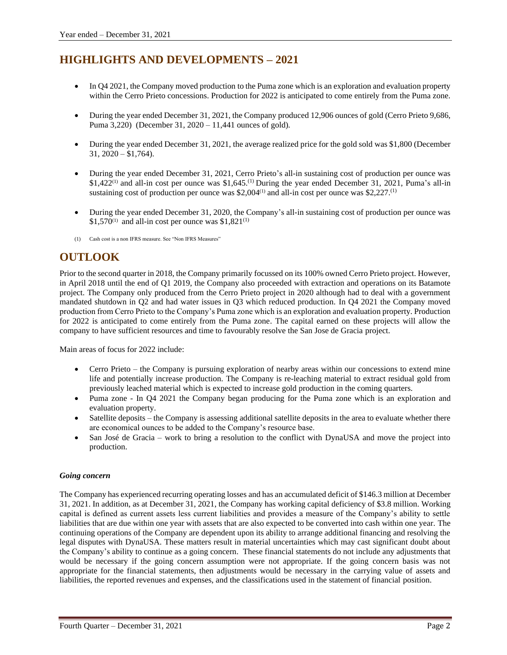# **HIGHLIGHTS AND DEVELOPMENTS – 2021**

- In Q4 2021, the Company moved production to the Puma zone which is an exploration and evaluation property within the Cerro Prieto concessions. Production for 2022 is anticipated to come entirely from the Puma zone.
- During the year ended December 31, 2021, the Company produced 12,906 ounces of gold (Cerro Prieto 9,686, Puma 3,220) (December 31, 2020 – 11,441 ounces of gold).
- During the year ended December 31, 2021, the average realized price for the gold sold was \$1,800 (December  $31, 2020 - $1,764$ .
- During the year ended December 31, 2021, Cerro Prieto's all-in sustaining cost of production per ounce was \$1,422<sup>(1)</sup> and all-in cost per ounce was \$1,645.<sup>(1)</sup> During the year ended December 31, 2021, Puma's all-in sustaining cost of production per ounce was \$2,004 $\scriptstyle\rm (1)}$  and all-in cost per ounce was \$2,227. $\scriptstyle\rm (1)}$
- During the year ended December 31, 2020, the Company's all-in sustaining cost of production per ounce was \$1,570<sup>(1)</sup> and all-in cost per ounce was \$1,821<sup>(1)</sup>
- (1) Cash cost is a non IFRS measure. See "Non IFRS Measures"

# **OUTLOOK**

Prior to the second quarter in 2018, the Company primarily focussed on its 100% owned Cerro Prieto project. However, in April 2018 until the end of Q1 2019, the Company also proceeded with extraction and operations on its Batamote project. The Company only produced from the Cerro Prieto project in 2020 although had to deal with a government mandated shutdown in Q2 and had water issues in Q3 which reduced production. In Q4 2021 the Company moved production from Cerro Prieto to the Company's Puma zone which is an exploration and evaluation property. Production for 2022 is anticipated to come entirely from the Puma zone. The capital earned on these projects will allow the company to have sufficient resources and time to favourably resolve the San Jose de Gracia project.

Main areas of focus for 2022 include:

- Cerro Prieto the Company is pursuing exploration of nearby areas within our concessions to extend mine life and potentially increase production. The Company is re-leaching material to extract residual gold from previously leached material which is expected to increase gold production in the coming quarters.
- Puma zone In Q4 2021 the Company began producing for the Puma zone which is an exploration and evaluation property.
- Satellite deposits the Company is assessing additional satellite deposits in the area to evaluate whether there are economical ounces to be added to the Company's resource base.
- San José de Gracia work to bring a resolution to the conflict with DynaUSA and move the project into production.

# *Going concern*

The Company has experienced recurring operating losses and has an accumulated deficit of \$146.3 million at December 31, 2021. In addition, as at December 31, 2021, the Company has working capital deficiency of \$3.8 million. Working capital is defined as current assets less current liabilities and provides a measure of the Company's ability to settle liabilities that are due within one year with assets that are also expected to be converted into cash within one year. The continuing operations of the Company are dependent upon its ability to arrange additional financing and resolving the legal disputes with DynaUSA. These matters result in material uncertainties which may cast significant doubt about the Company's ability to continue as a going concern. These financial statements do not include any adjustments that would be necessary if the going concern assumption were not appropriate. If the going concern basis was not appropriate for the financial statements, then adjustments would be necessary in the carrying value of assets and liabilities, the reported revenues and expenses, and the classifications used in the statement of financial position.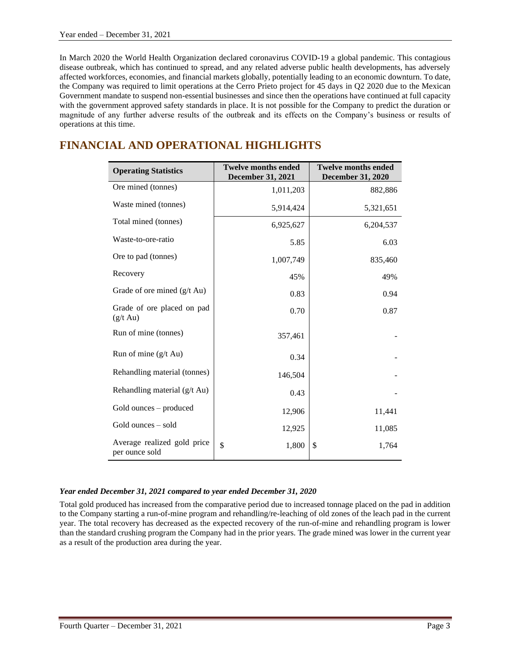In March 2020 the World Health Organization declared coronavirus COVID-19 a global pandemic. This contagious disease outbreak, which has continued to spread, and any related adverse public health developments, has adversely affected workforces, economies, and financial markets globally, potentially leading to an economic downturn. To date, the Company was required to limit operations at the Cerro Prieto project for 45 days in Q2 2020 due to the Mexican Government mandate to suspend non-essential businesses and since then the operations have continued at full capacity with the government approved safety standards in place. It is not possible for the Company to predict the duration or magnitude of any further adverse results of the outbreak and its effects on the Company's business or results of operations at this time.

# **FINANCIAL AND OPERATIONAL HIGHLIGHTS**

| <b>Operating Statistics</b>                      | <b>Twelve months ended</b><br><b>December 31, 2021</b> | <b>Twelve months ended</b><br><b>December 31, 2020</b> |
|--------------------------------------------------|--------------------------------------------------------|--------------------------------------------------------|
| Ore mined (tonnes)                               | 1,011,203                                              | 882,886                                                |
| Waste mined (tonnes)                             | 5,914,424                                              | 5,321,651                                              |
| Total mined (tonnes)                             | 6,925,627                                              | 6,204,537                                              |
| Waste-to-ore-ratio                               | 5.85                                                   | 6.03                                                   |
| Ore to pad (tonnes)                              | 1,007,749                                              | 835,460                                                |
| Recovery                                         | 45%                                                    | 49%                                                    |
| Grade of ore mined (g/t Au)                      | 0.83                                                   | 0.94                                                   |
| Grade of ore placed on pad<br>$(g/t \text{ Au})$ | 0.70                                                   | 0.87                                                   |
| Run of mine (tonnes)                             | 357,461                                                |                                                        |
| Run of mine $(g/t \text{ Au})$                   | 0.34                                                   |                                                        |
| Rehandling material (tonnes)                     | 146,504                                                |                                                        |
| Rehandling material (g/t Au)                     | 0.43                                                   |                                                        |
| Gold ounces – produced                           | 12,906                                                 | 11,441                                                 |
| Gold ounces – sold                               | 12,925                                                 | 11,085                                                 |
| Average realized gold price<br>per ounce sold    | \$<br>1,800                                            | \$<br>1,764                                            |

# *Year ended December 31, 2021 compared to year ended December 31, 2020*

Total gold produced has increased from the comparative period due to increased tonnage placed on the pad in addition to the Company starting a run-of-mine program and rehandling/re-leaching of old zones of the leach pad in the current year. The total recovery has decreased as the expected recovery of the run-of-mine and rehandling program is lower than the standard crushing program the Company had in the prior years. The grade mined was lower in the current year as a result of the production area during the year.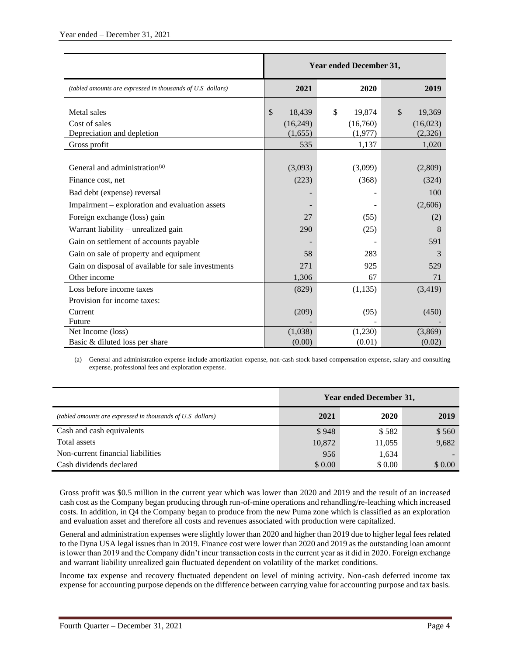|                                                                            | <b>Year ended December 31,</b>             |                                              |                                                         |  |
|----------------------------------------------------------------------------|--------------------------------------------|----------------------------------------------|---------------------------------------------------------|--|
| (tabled amounts are expressed in thousands of U.S dollars)                 | 2021                                       | 2020                                         | 2019                                                    |  |
| Metal sales<br>Cost of sales<br>Depreciation and depletion<br>Gross profit | \$<br>18,439<br>(16,249)<br>(1,655)<br>535 | \$<br>19.874<br>(16,760)<br>(1,977)<br>1,137 | $\mathcal{S}$<br>19,369<br>(16,023)<br>(2,326)<br>1,020 |  |
|                                                                            |                                            |                                              |                                                         |  |
| General and administration <sup>(a)</sup>                                  | (3,093)                                    | (3,099)                                      | (2,809)                                                 |  |
| Finance cost, net                                                          | (223)                                      | (368)                                        | (324)                                                   |  |
| Bad debt (expense) reversal                                                |                                            |                                              | 100                                                     |  |
| Impairment – exploration and evaluation assets                             |                                            |                                              | (2,606)                                                 |  |
| Foreign exchange (loss) gain                                               | 27                                         | (55)                                         | (2)                                                     |  |
| Warrant liability - unrealized gain                                        | 290                                        | (25)                                         | 8                                                       |  |
| Gain on settlement of accounts payable                                     |                                            |                                              | 591                                                     |  |
| Gain on sale of property and equipment                                     | 58                                         | 283                                          | 3                                                       |  |
| Gain on disposal of available for sale investments                         | 271                                        | 925                                          | 529                                                     |  |
| Other income                                                               | 1,306                                      | 67                                           | 71                                                      |  |
| Loss before income taxes                                                   | (829)                                      | (1, 135)                                     | (3,419)                                                 |  |
| Provision for income taxes:                                                |                                            |                                              |                                                         |  |
| Current                                                                    | (209)                                      | (95)                                         | (450)                                                   |  |
| Future                                                                     |                                            |                                              |                                                         |  |
| Net Income (loss)                                                          | (1,038)                                    | (1,230)                                      | (3,869)                                                 |  |
| Basic & diluted loss per share                                             | (0.00)                                     | (0.01)                                       | (0.02)                                                  |  |

(a) General and administration expense include amortization expense, non-cash stock based compensation expense, salary and consulting expense, professional fees and exploration expense.

|                                                            | <b>Year ended December 31,</b> |        |        |  |
|------------------------------------------------------------|--------------------------------|--------|--------|--|
| (tabled amounts are expressed in thousands of U.S dollars) | 2021                           | 2020   | 2019   |  |
| Cash and cash equivalents                                  | \$948                          | \$582  | \$560  |  |
| Total assets                                               | 10,872                         | 11,055 | 9,682  |  |
| Non-current financial liabilities                          | 956                            | 1,634  |        |  |
| Cash dividends declared                                    | \$0.00                         | \$0.00 | \$0.00 |  |

Gross profit was \$0.5 million in the current year which was lower than 2020 and 2019 and the result of an increased cash cost as the Company began producing through run-of-mine operations and rehandling/re-leaching which increased costs. In addition, in Q4 the Company began to produce from the new Puma zone which is classified as an exploration and evaluation asset and therefore all costs and revenues associated with production were capitalized.

General and administration expenses were slightly lower than 2020 and higher than 2019 due to higher legal fees related to the Dyna USA legal issues than in 2019. Finance cost were lower than 2020 and 2019 as the outstanding loan amount is lower than 2019 and the Company didn't incur transaction costs in the current year as it did in 2020. Foreign exchange and warrant liability unrealized gain fluctuated dependent on volatility of the market conditions.

Income tax expense and recovery fluctuated dependent on level of mining activity. Non-cash deferred income tax expense for accounting purpose depends on the difference between carrying value for accounting purpose and tax basis.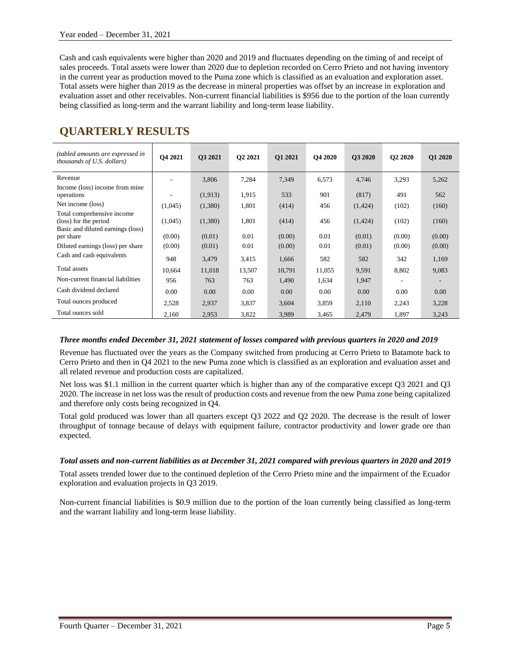Cash and cash equivalents were higher than 2020 and 2019 and fluctuates depending on the timing of and receipt of sales proceeds. Total assets were lower than 2020 due to depletion recorded on Cerro Prieto and not having inventory in the current year as production moved to the Puma zone which is classified as an evaluation and exploration asset. Total assets were higher than 2019 as the decrease in mineral properties was offset by an increase in exploration and evaluation asset and other receivables. Non-current financial liabilities is \$956 due to the portion of the loan currently being classified as long-term and the warrant liability and long-term lease liability.

| (tabled amounts are expressed in<br>thousands of U.S. dollars)                           | O <sub>4</sub> 2021 | O3 2021 | O <sub>2</sub> 2021 | O1 2021 | <b>O4 2020</b> | <b>O3 2020</b> | Q2 2020 | <b>O1 2020</b> |
|------------------------------------------------------------------------------------------|---------------------|---------|---------------------|---------|----------------|----------------|---------|----------------|
| Revenue                                                                                  |                     | 3,806   | 7,284               | 7,349   | 6,573          | 4,746          | 3,293   | 5,262          |
| Income (loss) income from mine<br>operations                                             |                     | (1,913) | 1,915               | 533     | 901            | (817)          | 491     | 562            |
| Net income (loss)                                                                        | (1,045)             | (1,380) | 1,801               | (414)   | 456            | (1, 424)       | (102)   | (160)          |
| Total comprehensive income<br>(loss) for the period<br>Basic and diluted earnings (loss) | (1,045)             | (1,380) | 1,801               | (414)   | 456            | (1, 424)       | (102)   | (160)          |
| per share                                                                                | (0.00)              | (0.01)  | 0.01                | (0.00)  | 0.01           | (0.01)         | (0.00)  | (0.00)         |
| Diluted earnings (loss) per share                                                        | (0.00)              | (0.01)  | 0.01                | (0.00)  | 0.01           | (0.01)         | (0.00)  | (0.00)         |
| Cash and cash equivalents                                                                | 948                 | 3,479   | 3,415               | 1,666   | 582            | 582            | 342     | 1,169          |
| Total assets                                                                             | 10,664              | 11,018  | 13,507              | 10,791  | 11,055         | 9,591          | 8,802   | 9,083          |
| Non-current financial liabilities                                                        | 956                 | 763     | 763                 | 1,490   | 1,634          | 1,947          |         |                |
| Cash dividend declared                                                                   | 0.00                | 0.00    | 0.00                | 0.00    | 0.00           | 0.00           | 0.00    | 0.00           |
| Total ounces produced                                                                    | 2,528               | 2,937   | 3,837               | 3,604   | 3,859          | 2,110          | 2,243   | 3,228          |
| Total ounces sold                                                                        | 2,160               | 2,953   | 3,822               | 3,989   | 3,465          | 2,479          | 1,897   | 3,243          |

# **QUARTERLY RESULTS**

# *Three months ended December 31, 2021 statement of losses compared with previous quarters in 2020 and 2019*

Revenue has fluctuated over the years as the Company switched from producing at Cerro Prieto to Batamote back to Cerro Prieto and then in Q4 2021 to the new Puma zone which is classified as an exploration and evaluation asset and all related revenue and production costs are capitalized.

Net loss was \$1.1 million in the current quarter which is higher than any of the comparative except Q3 2021 and Q3 2020. The increase in net loss was the result of production costs and revenue from the new Puma zone being capitalized and therefore only costs being recognized in Q4.

Total gold produced was lower than all quarters except Q3 2022 and Q2 2020. The decrease is the result of lower throughput of tonnage because of delays with equipment failure, contractor productivity and lower grade ore than expected.

# *Total assets and non-current liabilities as at December 31, 2021 compared with previous quarters in 2020 and 2019*

Total assets trended lower due to the continued depletion of the Cerro Prieto mine and the impairment of the Ecuador exploration and evaluation projects in Q3 2019.

Non-current financial liabilities is \$0.9 million due to the portion of the loan currently being classified as long-term and the warrant liability and long-term lease liability.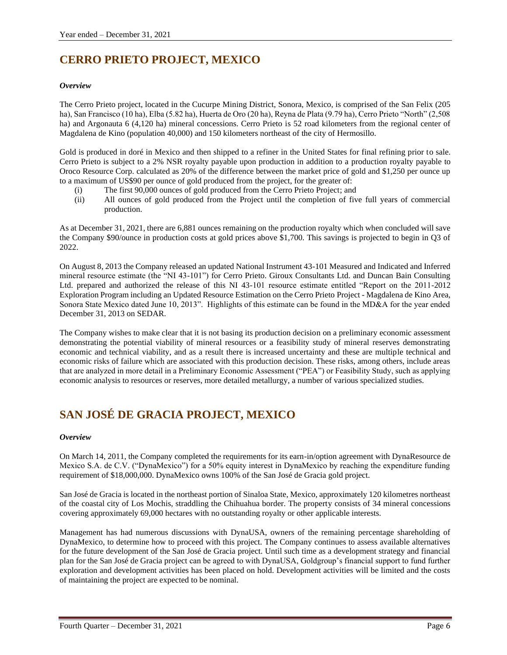# **CERRO PRIETO PROJECT, MEXICO**

# *Overview*

The Cerro Prieto project, located in the Cucurpe Mining District, Sonora, Mexico, is comprised of the San Felix (205 ha), San Francisco (10 ha), Elba (5.82 ha), Huerta de Oro (20 ha), Reyna de Plata (9.79 ha), Cerro Prieto "North" (2,508 ha) and Argonauta 6 (4,120 ha) mineral concessions. Cerro Prieto is 52 road kilometers from the regional center of Magdalena de Kino (population 40,000) and 150 kilometers northeast of the city of Hermosillo.

Gold is produced in doré in Mexico and then shipped to a refiner in the United States for final refining prior to sale. Cerro Prieto is subject to a 2% NSR royalty payable upon production in addition to a production royalty payable to Oroco Resource Corp. calculated as 20% of the difference between the market price of gold and \$1,250 per ounce up to a maximum of US\$90 per ounce of gold produced from the project, for the greater of:

- (i) The first 90,000 ounces of gold produced from the Cerro Prieto Project; and
- (ii) All ounces of gold produced from the Project until the completion of five full years of commercial production.

As at December 31, 2021, there are 6,881 ounces remaining on the production royalty which when concluded will save the Company \$90/ounce in production costs at gold prices above \$1,700. This savings is projected to begin in Q3 of 2022.

On August 8, 2013 the Company released an updated National Instrument 43-101 Measured and Indicated and Inferred mineral resource estimate (the "NI 43-101") for Cerro Prieto. Giroux Consultants Ltd. and Duncan Bain Consulting Ltd. prepared and authorized the release of this NI 43-101 resource estimate entitled "Report on the 2011-2012 Exploration Program including an Updated Resource Estimation on the Cerro Prieto Project - Magdalena de Kino Area, Sonora State Mexico dated June 10, 2013". Highlights of this estimate can be found in the MD&A for the year ended December 31, 2013 on SEDAR.

The Company wishes to make clear that it is not basing its production decision on a preliminary economic assessment demonstrating the potential viability of mineral resources or a feasibility study of mineral reserves demonstrating economic and technical viability, and as a result there is increased uncertainty and these are multiple technical and economic risks of failure which are associated with this production decision. These risks, among others, include areas that are analyzed in more detail in a Preliminary Economic Assessment ("PEA") or Feasibility Study, such as applying economic analysis to resources or reserves, more detailed metallurgy, a number of various specialized studies.

# **SAN JOSÉ DE GRACIA PROJECT, MEXICO**

# *Overview*

On March 14, 2011, the Company completed the requirements for its earn-in/option agreement with DynaResource de Mexico S.A. de C.V. ("DynaMexico") for a 50% equity interest in DynaMexico by reaching the expenditure funding requirement of \$18,000,000. DynaMexico owns 100% of the San José de Gracia gold project.

San José de Gracia is located in the northeast portion of Sinaloa State, Mexico, approximately 120 kilometres northeast of the coastal city of Los Mochis, straddling the Chihuahua border. The property consists of 34 mineral concessions covering approximately 69,000 hectares with no outstanding royalty or other applicable interests.

Management has had numerous discussions with DynaUSA, owners of the remaining percentage shareholding of DynaMexico, to determine how to proceed with this project. The Company continues to assess available alternatives for the future development of the San José de Gracia project. Until such time as a development strategy and financial plan for the San José de Gracia project can be agreed to with DynaUSA, Goldgroup's financial support to fund further exploration and development activities has been placed on hold. Development activities will be limited and the costs of maintaining the project are expected to be nominal.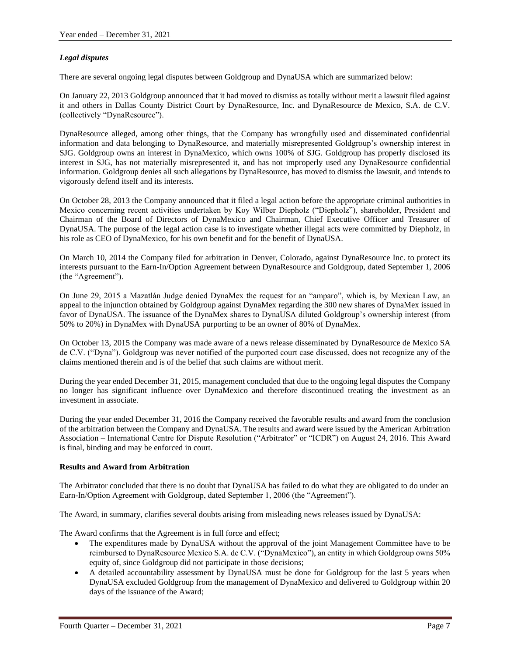# *Legal disputes*

There are several ongoing legal disputes between Goldgroup and DynaUSA which are summarized below:

On January 22, 2013 Goldgroup announced that it had moved to dismiss as totally without merit a lawsuit filed against it and others in Dallas County District Court by DynaResource, Inc. and DynaResource de Mexico, S.A. de C.V. (collectively "DynaResource").

DynaResource alleged, among other things, that the Company has wrongfully used and disseminated confidential information and data belonging to DynaResource, and materially misrepresented Goldgroup's ownership interest in SJG. Goldgroup owns an interest in DynaMexico, which owns 100% of SJG. Goldgroup has properly disclosed its interest in SJG, has not materially misrepresented it, and has not improperly used any DynaResource confidential information. Goldgroup denies all such allegations by DynaResource, has moved to dismiss the lawsuit, and intends to vigorously defend itself and its interests.

On October 28, 2013 the Company announced that it filed a legal action before the appropriate criminal authorities in Mexico concerning recent activities undertaken by Koy Wilber Diepholz ("Diepholz"), shareholder, President and Chairman of the Board of Directors of DynaMexico and Chairman, Chief Executive Officer and Treasurer of DynaUSA. The purpose of the legal action case is to investigate whether illegal acts were committed by Diepholz, in his role as CEO of DynaMexico, for his own benefit and for the benefit of DynaUSA.

On March 10, 2014 the Company filed for arbitration in Denver, Colorado, against DynaResource Inc. to protect its interests pursuant to the Earn-In/Option Agreement between DynaResource and Goldgroup, dated September 1, 2006 (the "Agreement").

On June 29, 2015 a Mazatlán Judge denied DynaMex the request for an "amparo", which is, by Mexican Law, an appeal to the injunction obtained by Goldgroup against DynaMex regarding the 300 new shares of DynaMex issued in favor of DynaUSA. The issuance of the DynaMex shares to DynaUSA diluted Goldgroup's ownership interest (from 50% to 20%) in DynaMex with DynaUSA purporting to be an owner of 80% of DynaMex.

On October 13, 2015 the Company was made aware of a news release disseminated by DynaResource de Mexico SA de C.V. ("Dyna"). Goldgroup was never notified of the purported court case discussed, does not recognize any of the claims mentioned therein and is of the belief that such claims are without merit.

During the year ended December 31, 2015, management concluded that due to the ongoing legal disputes the Company no longer has significant influence over DynaMexico and therefore discontinued treating the investment as an investment in associate.

During the year ended December 31, 2016 the Company received the favorable results and award from the conclusion of the arbitration between the Company and DynaUSA. The results and award were issued by the American Arbitration Association – International Centre for Dispute Resolution ("Arbitrator" or "ICDR") on August 24, 2016. This Award is final, binding and may be enforced in court.

# **Results and Award from Arbitration**

The Arbitrator concluded that there is no doubt that DynaUSA has failed to do what they are obligated to do under an Earn-In/Option Agreement with Goldgroup, dated September 1, 2006 (the "Agreement").

The Award, in summary, clarifies several doubts arising from misleading news releases issued by DynaUSA:

The Award confirms that the Agreement is in full force and effect;

- The expenditures made by DynaUSA without the approval of the joint Management Committee have to be reimbursed to DynaResource Mexico S.A. de C.V. ("DynaMexico"), an entity in which Goldgroup owns 50% equity of, since Goldgroup did not participate in those decisions;
- A detailed accountability assessment by DynaUSA must be done for Goldgroup for the last 5 years when DynaUSA excluded Goldgroup from the management of DynaMexico and delivered to Goldgroup within 20 days of the issuance of the Award;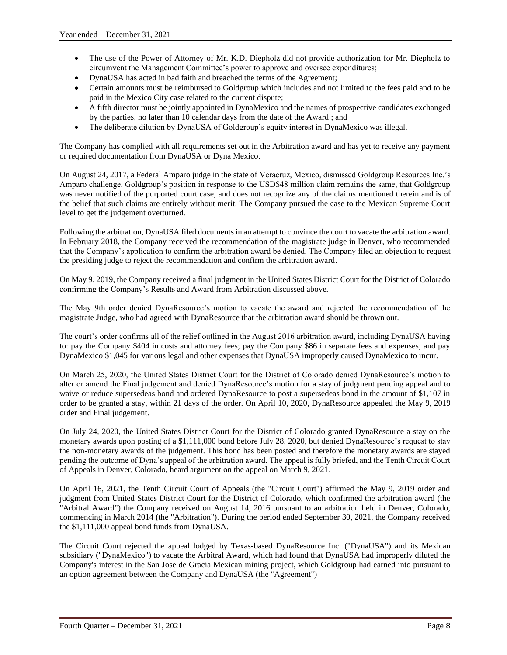- The use of the Power of Attorney of Mr. K.D. Diepholz did not provide authorization for Mr. Diepholz to circumvent the Management Committee's power to approve and oversee expenditures;
- DynaUSA has acted in bad faith and breached the terms of the Agreement;
- Certain amounts must be reimbursed to Goldgroup which includes and not limited to the fees paid and to be paid in the Mexico City case related to the current dispute;
- A fifth director must be jointly appointed in DynaMexico and the names of prospective candidates exchanged by the parties, no later than 10 calendar days from the date of the Award ; and
- The deliberate dilution by DynaUSA of Goldgroup's equity interest in DynaMexico was illegal.

The Company has complied with all requirements set out in the Arbitration award and has yet to receive any payment or required documentation from DynaUSA or Dyna Mexico.

On August 24, 2017, a Federal Amparo judge in the state of Veracruz, Mexico, dismissed Goldgroup Resources Inc.'s Amparo challenge. Goldgroup's position in response to the USD\$48 million claim remains the same, that Goldgroup was never notified of the purported court case, and does not recognize any of the claims mentioned therein and is of the belief that such claims are entirely without merit. The Company pursued the case to the Mexican Supreme Court level to get the judgement overturned.

Following the arbitration, DynaUSA filed documents in an attempt to convince the court to vacate the arbitration award. In February 2018, the Company received the recommendation of the magistrate judge in Denver, who recommended that the Company's application to confirm the arbitration award be denied. The Company filed an objection to request the presiding judge to reject the recommendation and confirm the arbitration award.

On May 9, 2019, the Company received a final judgment in the United States District Court for the District of Colorado confirming the Company's Results and Award from Arbitration discussed above.

The May 9th order denied DynaResource's motion to vacate the award and rejected the recommendation of the magistrate Judge, who had agreed with DynaResource that the arbitration award should be thrown out.

The court's order confirms all of the relief outlined in the August 2016 arbitration award, including DynaUSA having to: pay the Company \$404 in costs and attorney fees; pay the Company \$86 in separate fees and expenses; and pay DynaMexico \$1,045 for various legal and other expenses that DynaUSA improperly caused DynaMexico to incur.

On March 25, 2020, the United States District Court for the District of Colorado denied DynaResource's motion to alter or amend the Final judgement and denied DynaResource's motion for a stay of judgment pending appeal and to waive or reduce supersedeas bond and ordered DynaResource to post a supersedeas bond in the amount of \$1,107 in order to be granted a stay, within 21 days of the order. On April 10, 2020, DynaResource appealed the May 9, 2019 order and Final judgement.

On July 24, 2020, the United States District Court for the District of Colorado granted DynaResource a stay on the monetary awards upon posting of a \$1,111,000 bond before July 28, 2020, but denied DynaResource's request to stay the non-monetary awards of the judgement. This bond has been posted and therefore the monetary awards are stayed pending the outcome of Dyna's appeal of the arbitration award. The appeal is fully briefed, and the Tenth Circuit Court of Appeals in Denver, Colorado, heard argument on the appeal on March 9, 2021.

On April 16, 2021, the Tenth Circuit Court of Appeals (the "Circuit Court") affirmed the May 9, 2019 order and judgment from United States District Court for the District of Colorado, which confirmed the arbitration award (the "Arbitral Award") the Company received on August 14, 2016 pursuant to an arbitration held in Denver, Colorado, commencing in March 2014 (the "Arbitration"). During the period ended September 30, 2021, the Company received the \$1,111,000 appeal bond funds from DynaUSA.

The Circuit Court rejected the appeal lodged by Texas-based DynaResource Inc. ("DynaUSA") and its Mexican subsidiary ("DynaMexico") to vacate the Arbitral Award, which had found that DynaUSA had improperly diluted the Company's interest in the San Jose de Gracia Mexican mining project, which Goldgroup had earned into pursuant to an option agreement between the Company and DynaUSA (the "Agreement")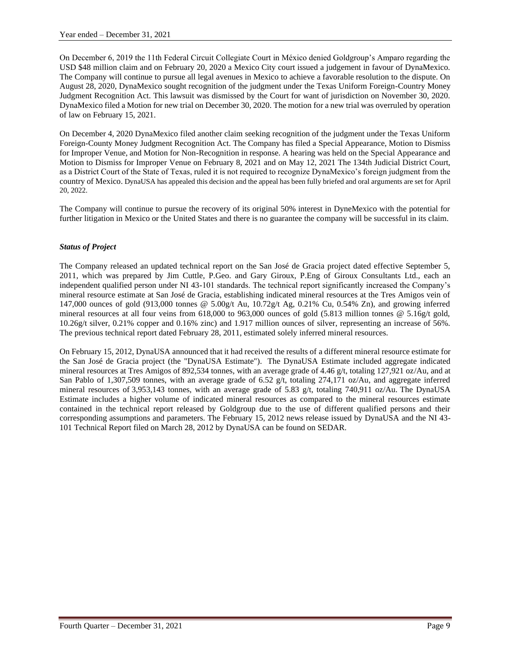On December 6, 2019 the 11th Federal Circuit Collegiate Court in México denied Goldgroup's Amparo regarding the USD \$48 million claim and on February 20, 2020 a Mexico City court issued a judgement in favour of DynaMexico. The Company will continue to pursue all legal avenues in Mexico to achieve a favorable resolution to the dispute. On August 28, 2020, DynaMexico sought recognition of the judgment under the Texas Uniform Foreign-Country Money Judgment Recognition Act. This lawsuit was dismissed by the Court for want of jurisdiction on November 30, 2020. DynaMexico filed a Motion for new trial on December 30, 2020. The motion for a new trial was overruled by operation of law on February 15, 2021.

On December 4, 2020 DynaMexico filed another claim seeking recognition of the judgment under the Texas Uniform Foreign-County Money Judgment Recognition Act. The Company has filed a Special Appearance, Motion to Dismiss for Improper Venue, and Motion for Non-Recognition in response. A hearing was held on the Special Appearance and Motion to Dismiss for Improper Venue on February 8, 2021 and on May 12, 2021 The 134th Judicial District Court, as a District Court of the State of Texas, ruled it is not required to recognize DynaMexico's foreign judgment from the country of Mexico. DynaUSA has appealed this decision and the appeal has been fully briefed and oral arguments are set for April 20, 2022.

The Company will continue to pursue the recovery of its original 50% interest in DyneMexico with the potential for further litigation in Mexico or the United States and there is no guarantee the company will be successful in its claim.

# *Status of Project*

The Company released an updated technical report on the San José de Gracia project dated effective September 5, 2011, which was prepared by Jim Cuttle, P.Geo. and Gary Giroux, P.Eng of Giroux Consultants Ltd., each an independent qualified person under NI 43-101 standards. The technical report significantly increased the Company's mineral resource estimate at San José de Gracia, establishing indicated mineral resources at the Tres Amigos vein of 147,000 ounces of gold (913,000 tonnes @ 5.00g/t Au, 10.72g/t Ag, 0.21% Cu, 0.54% Zn), and growing inferred mineral resources at all four veins from 618,000 to 963,000 ounces of gold (5.813 million tonnes @ 5.16g/t gold, 10.26g/t silver, 0.21% copper and 0.16% zinc) and 1.917 million ounces of silver, representing an increase of 56%. The previous technical report dated February 28, 2011, estimated solely inferred mineral resources.

On February 15, 2012, DynaUSA announced that it had received the results of a different mineral resource estimate for the San José de Gracia project (the "DynaUSA Estimate"). The DynaUSA Estimate included aggregate indicated mineral resources at Tres Amigos of 892,534 tonnes, with an average grade of 4.46 g/t, totaling 127,921 oz/Au, and at San Pablo of 1,307,509 tonnes, with an average grade of 6.52 g/t, totaling 274,171 oz/Au, and aggregate inferred mineral resources of 3,953,143 tonnes, with an average grade of 5.83 g/t, totaling 740,911 oz/Au. The DynaUSA Estimate includes a higher volume of indicated mineral resources as compared to the mineral resources estimate contained in the technical report released by Goldgroup due to the use of different qualified persons and their corresponding assumptions and parameters. The February 15, 2012 news release issued by DynaUSA and the NI 43- 101 Technical Report filed on March 28, 2012 by DynaUSA can be found on SEDAR.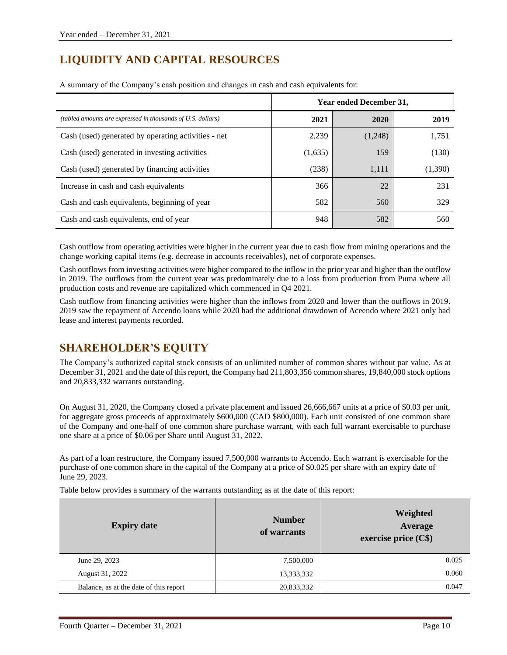# **LIQUIDITY AND CAPITAL RESOURCES**

|                                                             | <b>Year ended December 31,</b> |         |         |
|-------------------------------------------------------------|--------------------------------|---------|---------|
| (tabled amounts are expressed in thousands of U.S. dollars) | 2021                           | 2020    | 2019    |
| Cash (used) generated by operating activities - net         | 2,239                          | (1,248) | 1,751   |
| Cash (used) generated in investing activities               | (1,635)                        | 159     | (130)   |
| Cash (used) generated by financing activities               | (238)                          | 1,111   | (1,390) |
| Increase in cash and cash equivalents                       | 366                            | 22      | 231     |
| Cash and cash equivalents, beginning of year                | 582                            | 560     | 329     |
| Cash and cash equivalents, end of year                      | 948                            | 582     | 560     |

A summary of the Company's cash position and changes in cash and cash equivalents for:

Cash outflow from operating activities were higher in the current year due to cash flow from mining operations and the change working capital items (e.g. decrease in accounts receivables), net of corporate expenses.

Cash outflows from investing activities were higher compared to the inflow in the prior year and higher than the outflow in 2019. The outflows from the current year was predominately due to a loss from production from Puma where all production costs and revenue are capitalized which commenced in Q4 2021.

Cash outflow from financing activities were higher than the inflows from 2020 and lower than the outflows in 2019. 2019 saw the repayment of Accendo loans while 2020 had the additional drawdown of Aceendo where 2021 only had lease and interest payments recorded.

# **SHAREHOLDER'S EQUITY**

The Company's authorized capital stock consists of an unlimited number of common shares without par value. As at December 31, 2021 and the date of this report, the Company had 211,803,356 common shares, 19,840,000 stock options and 20,833,332 warrants outstanding.

On August 31, 2020, the Company closed a private placement and issued 26,666,667 units at a price of \$0.03 per unit, for aggregate gross proceeds of approximately \$600,000 (CAD \$800,000). Each unit consisted of one common share of the Company and one-half of one common share purchase warrant, with each full warrant exercisable to purchase one share at a price of \$0.06 per Share until August 31, 2022.

As part of a loan restructure, the Company issued 7,500,000 warrants to Accendo. Each warrant is exercisable for the purchase of one common share in the capital of the Company at a price of \$0.025 per share with an expiry date of June 29, 2023.

Table below provides a summary of the warrants outstanding as at the date of this report:

| <b>Expiry date</b>                     | <b>Number</b><br>of warrants | Weighted<br>Average<br>exercise price (C\$) |
|----------------------------------------|------------------------------|---------------------------------------------|
| June 29, 2023                          | 7,500,000                    | 0.025                                       |
| August 31, 2022                        | 13,333,332                   | 0.060                                       |
| Balance, as at the date of this report | 20,833,332                   | 0.047                                       |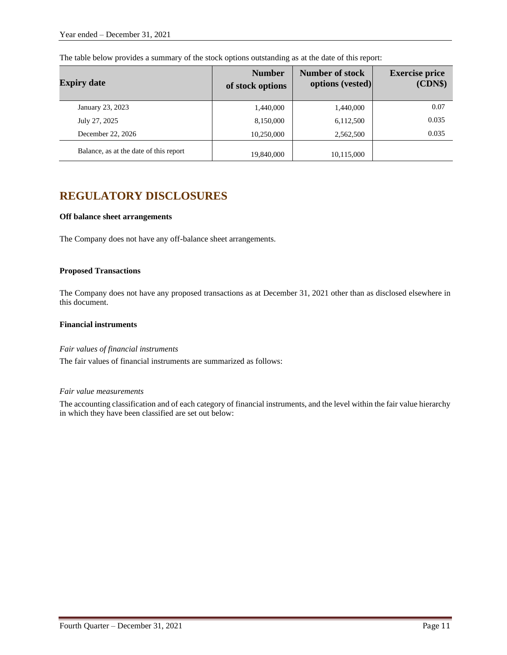| <b>Expiry date</b>                     | <b>Number</b><br>of stock options | <b>Number of stock</b><br>options (vested) | <b>Exercise price</b><br>(CDN\$) |
|----------------------------------------|-----------------------------------|--------------------------------------------|----------------------------------|
| January 23, 2023                       | 1,440,000                         | 1,440,000                                  | 0.07                             |
| July 27, 2025                          | 8,150,000                         | 6,112,500                                  | 0.035                            |
| December 22, 2026                      | 10,250,000                        | 2,562,500                                  | 0.035                            |
| Balance, as at the date of this report | 19,840,000                        | 10,115,000                                 |                                  |

The table below provides a summary of the stock options outstanding as at the date of this report:

# **REGULATORY DISCLOSURES**

#### **Off balance sheet arrangements**

The Company does not have any off-balance sheet arrangements.

#### **Proposed Transactions**

The Company does not have any proposed transactions as at December 31, 2021 other than as disclosed elsewhere in this document.

# **Financial instruments**

#### *Fair values of financial instruments*

The fair values of financial instruments are summarized as follows:

# *Fair value measurements*

The accounting classification and of each category of financial instruments, and the level within the fair value hierarchy in which they have been classified are set out below: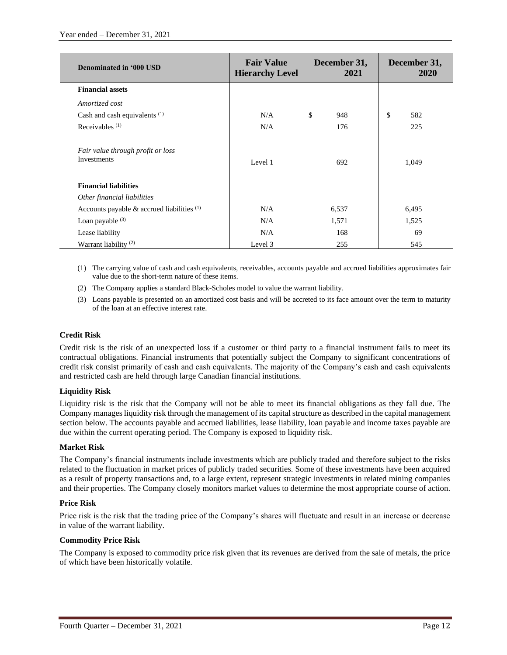| Denominated in '000 USD                          | <b>Fair Value</b><br><b>Hierarchy Level</b> | December 31,<br>2021 | December 31,<br>2020 |
|--------------------------------------------------|---------------------------------------------|----------------------|----------------------|
| <b>Financial assets</b>                          |                                             |                      |                      |
| Amortized cost                                   |                                             |                      |                      |
| Cash and cash equivalents <sup>(1)</sup>         | N/A                                         | \$<br>948            | \$<br>582            |
| Receivables $(1)$                                | N/A                                         | 176                  | 225                  |
| Fair value through profit or loss<br>Investments | Level 1                                     | 692                  | 1,049                |
| <b>Financial liabilities</b>                     |                                             |                      |                      |
| Other financial liabilities                      |                                             |                      |                      |
| Accounts payable $\&$ accrued liabilities $(1)$  | N/A                                         | 6,537                | 6,495                |
| Loan payable $(3)$                               | N/A                                         | 1,571                | 1,525                |
| Lease liability                                  | N/A                                         | 168                  | 69                   |
| Warrant liability <sup>(2)</sup>                 | Level 3                                     | 255                  | 545                  |

- (1) The carrying value of cash and cash equivalents, receivables, accounts payable and accrued liabilities approximates fair value due to the short-term nature of these items.
- (2) The Company applies a standard Black-Scholes model to value the warrant liability.
- (3) Loans payable is presented on an amortized cost basis and will be accreted to its face amount over the term to maturity of the loan at an effective interest rate.

# **Credit Risk**

Credit risk is the risk of an unexpected loss if a customer or third party to a financial instrument fails to meet its contractual obligations. Financial instruments that potentially subject the Company to significant concentrations of credit risk consist primarily of cash and cash equivalents. The majority of the Company's cash and cash equivalents and restricted cash are held through large Canadian financial institutions.

# **Liquidity Risk**

Liquidity risk is the risk that the Company will not be able to meet its financial obligations as they fall due. The Company manages liquidity risk through the management of its capital structure as described in the capital management section below. The accounts payable and accrued liabilities, lease liability, loan payable and income taxes payable are due within the current operating period. The Company is exposed to liquidity risk.

# **Market Risk**

The Company's financial instruments include investments which are publicly traded and therefore subject to the risks related to the fluctuation in market prices of publicly traded securities. Some of these investments have been acquired as a result of property transactions and, to a large extent, represent strategic investments in related mining companies and their properties. The Company closely monitors market values to determine the most appropriate course of action.

# **Price Risk**

Price risk is the risk that the trading price of the Company's shares will fluctuate and result in an increase or decrease in value of the warrant liability.

# **Commodity Price Risk**

The Company is exposed to commodity price risk given that its revenues are derived from the sale of metals, the price of which have been historically volatile.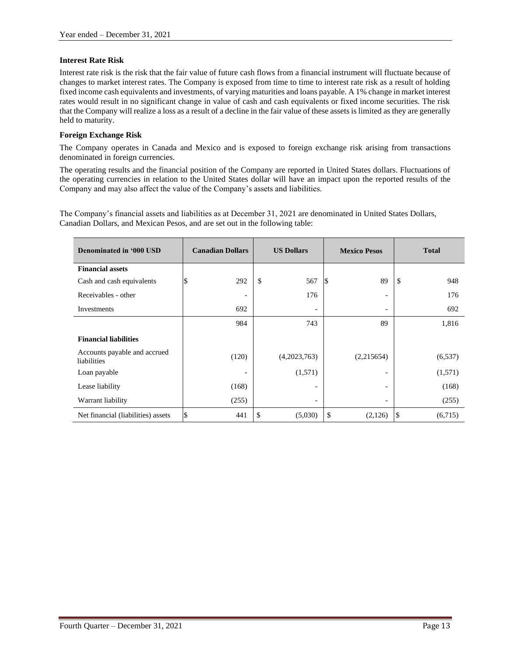#### **Interest Rate Risk**

Interest rate risk is the risk that the fair value of future cash flows from a financial instrument will fluctuate because of changes to market interest rates. The Company is exposed from time to time to interest rate risk as a result of holding fixed income cash equivalents and investments, of varying maturities and loans payable. A 1% change in market interest rates would result in no significant change in value of cash and cash equivalents or fixed income securities. The risk that the Company will realize a loss as a result of a decline in the fair value of these assets is limited as they are generally held to maturity.

#### **Foreign Exchange Risk**

The Company operates in Canada and Mexico and is exposed to foreign exchange risk arising from transactions denominated in foreign currencies.

The operating results and the financial position of the Company are reported in United States dollars. Fluctuations of the operating currencies in relation to the United States dollar will have an impact upon the reported results of the Company and may also affect the value of the Company's assets and liabilities.

The Company's financial assets and liabilities as at December 31, 2021 are denominated in United States Dollars, Canadian Dollars, and Mexican Pesos, and are set out in the following table:

| Denominated in '000 USD                     | <b>Canadian Dollars</b>  | <b>US Dollars</b>        | <b>Mexico Pesos</b>      | <b>Total</b>  |
|---------------------------------------------|--------------------------|--------------------------|--------------------------|---------------|
| <b>Financial assets</b>                     |                          |                          |                          |               |
| Cash and cash equivalents                   | 292                      | \$<br>567                | 89<br>15                 | \$<br>948     |
| Receivables - other                         | $\overline{\phantom{a}}$ | 176                      | $\overline{\phantom{a}}$ | 176           |
| Investments                                 | 692                      | ٠                        | $\overline{\phantom{a}}$ | 692           |
|                                             | 984                      | 743                      | 89                       | 1,816         |
| <b>Financial liabilities</b>                |                          |                          |                          |               |
| Accounts payable and accrued<br>liabilities | (120)                    | (4,2023,763)             | (2,215654)               | (6, 537)      |
| Loan payable                                |                          | (1,571)                  | $\overline{\phantom{a}}$ | (1,571)       |
| Lease liability                             | (168)                    | $\overline{\phantom{a}}$ | $\overline{\phantom{a}}$ | (168)         |
| Warrant liability                           | (255)                    | $\overline{\phantom{a}}$ | $\overline{\phantom{a}}$ | (255)         |
| Net financial (liabilities) assets          | \$<br>441                | \$<br>(5,030)            | \$<br>(2,126)            | (6,715)<br>\$ |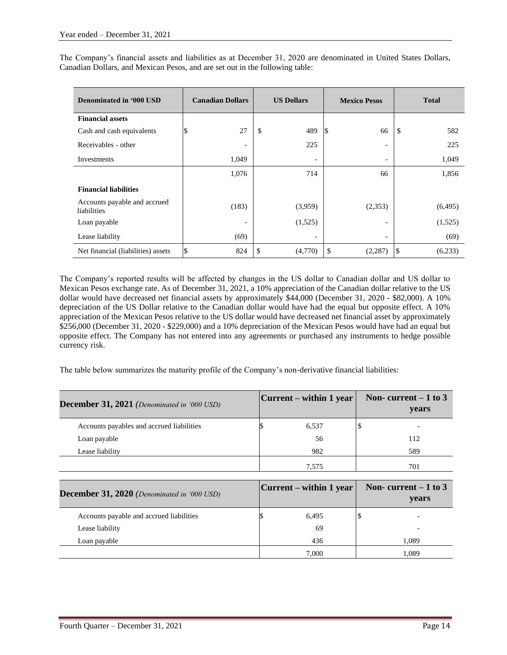The Company's financial assets and liabilities as at December 31, 2020 are denominated in United States Dollars, Canadian Dollars, and Mexican Pesos, and are set out in the following table:

| Denominated in '000 USD                     | <b>Canadian Dollars</b>  | <b>US Dollars</b> |    | <b>Mexico Pesos</b>      |     | <b>Total</b> |
|---------------------------------------------|--------------------------|-------------------|----|--------------------------|-----|--------------|
| <b>Financial assets</b>                     |                          |                   |    |                          |     |              |
| Cash and cash equivalents                   | 27                       | \$<br>489         | D  | 66                       | -\$ | 582          |
| Receivables - other                         | $\overline{\phantom{a}}$ | 225               |    | $\overline{\phantom{a}}$ |     | 225          |
| Investments                                 | 1,049                    |                   |    | $\overline{\phantom{a}}$ |     | 1,049        |
|                                             | 1,076                    | 714               |    | 66                       |     | 1,856        |
| <b>Financial liabilities</b>                |                          |                   |    |                          |     |              |
| Accounts payable and accrued<br>liabilities | (183)                    | (3,959)           |    | (2,353)                  |     | (6,495)      |
| Loan payable                                | ۰                        | (1,525)           |    | $\overline{\phantom{a}}$ |     | (1,525)      |
| Lease liability                             | (69)                     |                   |    | $\overline{\phantom{a}}$ |     | (69)         |
| Net financial (liabilities) assets          | \$<br>824                | \$<br>(4,770)     | \$ | (2, 287)                 | S   | (6,233)      |

The Company's reported results will be affected by changes in the US dollar to Canadian dollar and US dollar to Mexican Pesos exchange rate. As of December 31, 2021, a 10% appreciation of the Canadian dollar relative to the US dollar would have decreased net financial assets by approximately \$44,000 (December 31, 2020 - \$82,000). A 10% depreciation of the US Dollar relative to the Canadian dollar would have had the equal but opposite effect. A 10% appreciation of the Mexican Pesos relative to the US dollar would have decreased net financial asset by approximately \$256,000 (December 31, 2020 - \$229,000) and a 10% depreciation of the Mexican Pesos would have had an equal but opposite effect. The Company has not entered into any agreements or purchased any instruments to hedge possible currency risk.

The table below summarizes the maturity profile of the Company's non-derivative financial liabilities:

| <b>December 31, 2021</b> (Denominated in '000 USD) | $ Current - within 1 year $ | Non-current $-1$ to 3<br>years |
|----------------------------------------------------|-----------------------------|--------------------------------|
| Accounts payables and accrued liabilities          | 6,537                       |                                |
| Loan payable                                       | 56                          | 112                            |
| Lease liability                                    | 982                         | 589                            |
|                                                    | 7.575                       | 701                            |

| <b>December 31, 2020</b> (Denominated in '000 USD) | $ Current - within 1 year $ | Non-current $-1$ to 3<br>years |
|----------------------------------------------------|-----------------------------|--------------------------------|
| Accounts payable and accrued liabilities           | 6,495                       |                                |
| Lease liability                                    | 69                          |                                |
| Loan payable                                       | 436                         | 1.089                          |
|                                                    | 7.000                       | 1,089                          |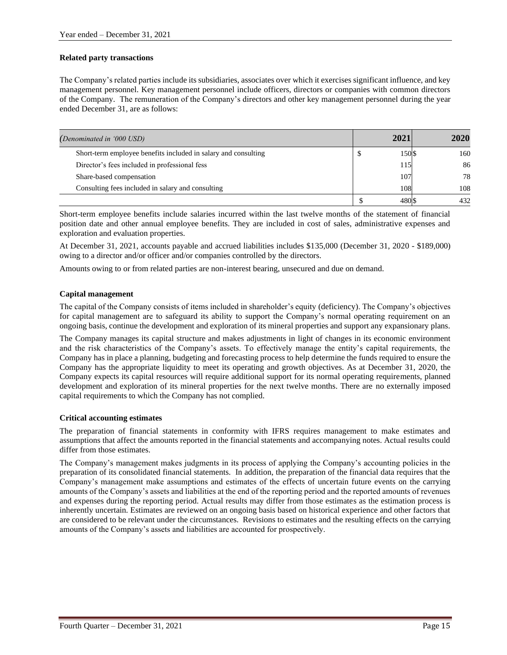# **Related party transactions**

The Company's related parties include its subsidiaries, associates over which it exercises significant influence, and key management personnel. Key management personnel include officers, directors or companies with common directors of the Company. The remuneration of the Company's directors and other key management personnel during the year ended December 31, are as follows:

| (Denominated in '000 USD)                                      | 2021  | 2020 |
|----------------------------------------------------------------|-------|------|
| Short-term employee benefits included in salary and consulting | 150\$ | 160  |
| Director's fees included in professional fess                  | 115   | 86   |
| Share-based compensation                                       | 107   | 78   |
| Consulting fees included in salary and consulting              | 108   | 108  |
|                                                                |       | 432  |

Short-term employee benefits include salaries incurred within the last twelve months of the statement of financial position date and other annual employee benefits. They are included in cost of sales, administrative expenses and exploration and evaluation properties.

At December 31, 2021, accounts payable and accrued liabilities includes \$135,000 (December 31, 2020 - \$189,000) owing to a director and/or officer and/or companies controlled by the directors.

Amounts owing to or from related parties are non-interest bearing, unsecured and due on demand.

#### **Capital management**

The capital of the Company consists of items included in shareholder's equity (deficiency). The Company's objectives for capital management are to safeguard its ability to support the Company's normal operating requirement on an ongoing basis, continue the development and exploration of its mineral properties and support any expansionary plans.

The Company manages its capital structure and makes adjustments in light of changes in its economic environment and the risk characteristics of the Company's assets. To effectively manage the entity's capital requirements, the Company has in place a planning, budgeting and forecasting process to help determine the funds required to ensure the Company has the appropriate liquidity to meet its operating and growth objectives. As at December 31, 2020, the Company expects its capital resources will require additional support for its normal operating requirements, planned development and exploration of its mineral properties for the next twelve months. There are no externally imposed capital requirements to which the Company has not complied.

#### **Critical accounting estimates**

The preparation of financial statements in conformity with IFRS requires management to make estimates and assumptions that affect the amounts reported in the financial statements and accompanying notes. Actual results could differ from those estimates.

The Company's management makes judgments in its process of applying the Company's accounting policies in the preparation of its consolidated financial statements. In addition, the preparation of the financial data requires that the Company's management make assumptions and estimates of the effects of uncertain future events on the carrying amounts of the Company's assets and liabilities at the end of the reporting period and the reported amounts of revenues and expenses during the reporting period. Actual results may differ from those estimates as the estimation process is inherently uncertain. Estimates are reviewed on an ongoing basis based on historical experience and other factors that are considered to be relevant under the circumstances. Revisions to estimates and the resulting effects on the carrying amounts of the Company's assets and liabilities are accounted for prospectively.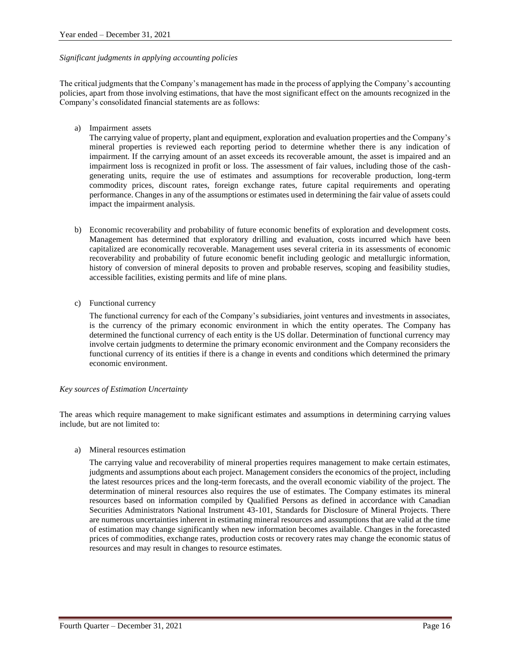#### *Significant judgments in applying accounting policies*

The critical judgments that the Company's management has made in the process of applying the Company's accounting policies, apart from those involving estimations, that have the most significant effect on the amounts recognized in the Company's consolidated financial statements are as follows:

a) Impairment assets

The carrying value of property, plant and equipment, exploration and evaluation properties and the Company's mineral properties is reviewed each reporting period to determine whether there is any indication of impairment. If the carrying amount of an asset exceeds its recoverable amount, the asset is impaired and an impairment loss is recognized in profit or loss. The assessment of fair values, including those of the cashgenerating units, require the use of estimates and assumptions for recoverable production, long-term commodity prices, discount rates, foreign exchange rates, future capital requirements and operating performance. Changes in any of the assumptions or estimates used in determining the fair value of assets could impact the impairment analysis.

- b) Economic recoverability and probability of future economic benefits of exploration and development costs. Management has determined that exploratory drilling and evaluation, costs incurred which have been capitalized are economically recoverable. Management uses several criteria in its assessments of economic recoverability and probability of future economic benefit including geologic and metallurgic information, history of conversion of mineral deposits to proven and probable reserves, scoping and feasibility studies, accessible facilities, existing permits and life of mine plans.
- c) Functional currency

The functional currency for each of the Company's subsidiaries, joint ventures and investments in associates, is the currency of the primary economic environment in which the entity operates. The Company has determined the functional currency of each entity is the US dollar. Determination of functional currency may involve certain judgments to determine the primary economic environment and the Company reconsiders the functional currency of its entities if there is a change in events and conditions which determined the primary economic environment.

# *Key sources of Estimation Uncertainty*

The areas which require management to make significant estimates and assumptions in determining carrying values include, but are not limited to:

a) Mineral resources estimation

The carrying value and recoverability of mineral properties requires management to make certain estimates, judgments and assumptions about each project. Management considers the economics of the project, including the latest resources prices and the long-term forecasts, and the overall economic viability of the project. The determination of mineral resources also requires the use of estimates. The Company estimates its mineral resources based on information compiled by Qualified Persons as defined in accordance with Canadian Securities Administrators National Instrument 43-101, Standards for Disclosure of Mineral Projects. There are numerous uncertainties inherent in estimating mineral resources and assumptions that are valid at the time of estimation may change significantly when new information becomes available. Changes in the forecasted prices of commodities, exchange rates, production costs or recovery rates may change the economic status of resources and may result in changes to resource estimates.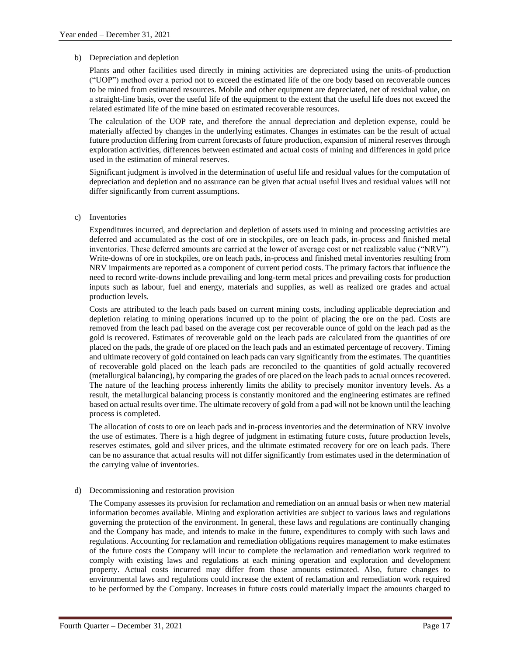#### b) Depreciation and depletion

Plants and other facilities used directly in mining activities are depreciated using the units-of-production ("UOP") method over a period not to exceed the estimated life of the ore body based on recoverable ounces to be mined from estimated resources. Mobile and other equipment are depreciated, net of residual value, on a straight-line basis, over the useful life of the equipment to the extent that the useful life does not exceed the related estimated life of the mine based on estimated recoverable resources.

The calculation of the UOP rate, and therefore the annual depreciation and depletion expense, could be materially affected by changes in the underlying estimates. Changes in estimates can be the result of actual future production differing from current forecasts of future production, expansion of mineral reserves through exploration activities, differences between estimated and actual costs of mining and differences in gold price used in the estimation of mineral reserves.

Significant judgment is involved in the determination of useful life and residual values for the computation of depreciation and depletion and no assurance can be given that actual useful lives and residual values will not differ significantly from current assumptions.

#### c) Inventories

Expenditures incurred, and depreciation and depletion of assets used in mining and processing activities are deferred and accumulated as the cost of ore in stockpiles, ore on leach pads, in-process and finished metal inventories. These deferred amounts are carried at the lower of average cost or net realizable value ("NRV"). Write-downs of ore in stockpiles, ore on leach pads, in-process and finished metal inventories resulting from NRV impairments are reported as a component of current period costs. The primary factors that influence the need to record write-downs include prevailing and long-term metal prices and prevailing costs for production inputs such as labour, fuel and energy, materials and supplies, as well as realized ore grades and actual production levels.

Costs are attributed to the leach pads based on current mining costs, including applicable depreciation and depletion relating to mining operations incurred up to the point of placing the ore on the pad. Costs are removed from the leach pad based on the average cost per recoverable ounce of gold on the leach pad as the gold is recovered. Estimates of recoverable gold on the leach pads are calculated from the quantities of ore placed on the pads, the grade of ore placed on the leach pads and an estimated percentage of recovery. Timing and ultimate recovery of gold contained on leach pads can vary significantly from the estimates. The quantities of recoverable gold placed on the leach pads are reconciled to the quantities of gold actually recovered (metallurgical balancing), by comparing the grades of ore placed on the leach pads to actual ounces recovered. The nature of the leaching process inherently limits the ability to precisely monitor inventory levels. As a result, the metallurgical balancing process is constantly monitored and the engineering estimates are refined based on actual results over time. The ultimate recovery of gold from a pad will not be known until the leaching process is completed.

The allocation of costs to ore on leach pads and in-process inventories and the determination of NRV involve the use of estimates. There is a high degree of judgment in estimating future costs, future production levels, reserves estimates, gold and silver prices, and the ultimate estimated recovery for ore on leach pads. There can be no assurance that actual results will not differ significantly from estimates used in the determination of the carrying value of inventories.

#### d) Decommissioning and restoration provision

The Company assesses its provision for reclamation and remediation on an annual basis or when new material information becomes available. Mining and exploration activities are subject to various laws and regulations governing the protection of the environment. In general, these laws and regulations are continually changing and the Company has made, and intends to make in the future, expenditures to comply with such laws and regulations. Accounting for reclamation and remediation obligations requires management to make estimates of the future costs the Company will incur to complete the reclamation and remediation work required to comply with existing laws and regulations at each mining operation and exploration and development property. Actual costs incurred may differ from those amounts estimated. Also, future changes to environmental laws and regulations could increase the extent of reclamation and remediation work required to be performed by the Company. Increases in future costs could materially impact the amounts charged to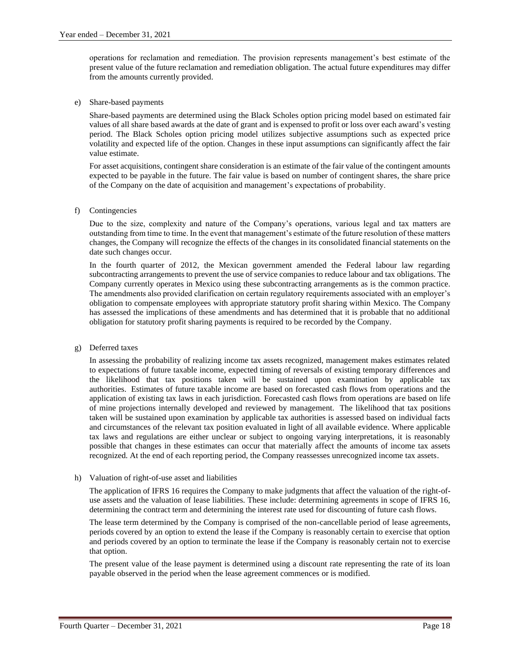operations for reclamation and remediation. The provision represents management's best estimate of the present value of the future reclamation and remediation obligation. The actual future expenditures may differ from the amounts currently provided.

e) Share-based payments

Share-based payments are determined using the Black Scholes option pricing model based on estimated fair values of all share based awards at the date of grant and is expensed to profit or loss over each award's vesting period. The Black Scholes option pricing model utilizes subjective assumptions such as expected price volatility and expected life of the option. Changes in these input assumptions can significantly affect the fair value estimate.

For asset acquisitions, contingent share consideration is an estimate of the fair value of the contingent amounts expected to be payable in the future. The fair value is based on number of contingent shares, the share price of the Company on the date of acquisition and management's expectations of probability.

f) Contingencies

Due to the size, complexity and nature of the Company's operations, various legal and tax matters are outstanding from time to time. In the event that management's estimate of the future resolution of these matters changes, the Company will recognize the effects of the changes in its consolidated financial statements on the date such changes occur.

In the fourth quarter of 2012, the Mexican government amended the Federal labour law regarding subcontracting arrangements to prevent the use of service companies to reduce labour and tax obligations. The Company currently operates in Mexico using these subcontracting arrangements as is the common practice. The amendments also provided clarification on certain regulatory requirements associated with an employer's obligation to compensate employees with appropriate statutory profit sharing within Mexico. The Company has assessed the implications of these amendments and has determined that it is probable that no additional obligation for statutory profit sharing payments is required to be recorded by the Company.

g) Deferred taxes

In assessing the probability of realizing income tax assets recognized, management makes estimates related to expectations of future taxable income, expected timing of reversals of existing temporary differences and the likelihood that tax positions taken will be sustained upon examination by applicable tax authorities. Estimates of future taxable income are based on forecasted cash flows from operations and the application of existing tax laws in each jurisdiction. Forecasted cash flows from operations are based on life of mine projections internally developed and reviewed by management. The likelihood that tax positions taken will be sustained upon examination by applicable tax authorities is assessed based on individual facts and circumstances of the relevant tax position evaluated in light of all available evidence. Where applicable tax laws and regulations are either unclear or subject to ongoing varying interpretations, it is reasonably possible that changes in these estimates can occur that materially affect the amounts of income tax assets recognized. At the end of each reporting period, the Company reassesses unrecognized income tax assets.

h) Valuation of right-of-use asset and liabilities

The application of IFRS 16 requires the Company to make judgments that affect the valuation of the right-ofuse assets and the valuation of lease liabilities. These include: determining agreements in scope of IFRS 16, determining the contract term and determining the interest rate used for discounting of future cash flows.

The lease term determined by the Company is comprised of the non-cancellable period of lease agreements, periods covered by an option to extend the lease if the Company is reasonably certain to exercise that option and periods covered by an option to terminate the lease if the Company is reasonably certain not to exercise that option.

The present value of the lease payment is determined using a discount rate representing the rate of its loan payable observed in the period when the lease agreement commences or is modified.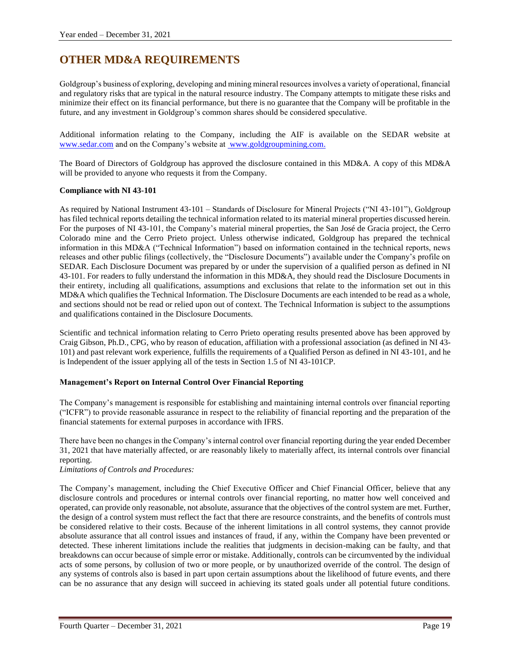# **OTHER MD&A REQUIREMENTS**

Goldgroup's business of exploring, developing and mining mineral resources involves a variety of operational, financial and regulatory risks that are typical in the natural resource industry. The Company attempts to mitigate these risks and minimize their effect on its financial performance, but there is no guarantee that the Company will be profitable in the future, and any investment in Goldgroup's common shares should be considered speculative.

Additional information relating to the Company, including the AIF is available on the SEDAR website at [www.sedar.com](http://www.sedar.com/) and on the Company's website at [www.goldgroupmining.com.](http://www.goldgroupmining.com/)

The Board of Directors of Goldgroup has approved the disclosure contained in this MD&A. A copy of this MD&A will be provided to anyone who requests it from the Company.

# **Compliance with NI 43-101**

As required by National Instrument 43-101 – Standards of Disclosure for Mineral Projects ("NI 43-101"), Goldgroup has filed technical reports detailing the technical information related to its material mineral properties discussed herein. For the purposes of NI 43-101, the Company's material mineral properties, the San José de Gracia project, the Cerro Colorado mine and the Cerro Prieto project. Unless otherwise indicated, Goldgroup has prepared the technical information in this MD&A ("Technical Information") based on information contained in the technical reports, news releases and other public filings (collectively, the "Disclosure Documents") available under the Company's profile on SEDAR. Each Disclosure Document was prepared by or under the supervision of a qualified person as defined in NI 43-101. For readers to fully understand the information in this MD&A, they should read the Disclosure Documents in their entirety, including all qualifications, assumptions and exclusions that relate to the information set out in this MD&A which qualifies the Technical Information. The Disclosure Documents are each intended to be read as a whole, and sections should not be read or relied upon out of context. The Technical Information is subject to the assumptions and qualifications contained in the Disclosure Documents.

Scientific and technical information relating to Cerro Prieto operating results presented above has been approved by Craig Gibson, Ph.D., CPG, who by reason of education, affiliation with a professional association (as defined in NI 43- 101) and past relevant work experience, fulfills the requirements of a Qualified Person as defined in NI 43-101, and he is Independent of the issuer applying all of the tests in Section 1.5 of NI 43-101CP.

# **Management's Report on Internal Control Over Financial Reporting**

The Company's management is responsible for establishing and maintaining internal controls over financial reporting ("ICFR") to provide reasonable assurance in respect to the reliability of financial reporting and the preparation of the financial statements for external purposes in accordance with IFRS.

There have been no changes in the Company's internal control over financial reporting during the year ended December 31, 2021 that have materially affected, or are reasonably likely to materially affect, its internal controls over financial reporting.

*Limitations of Controls and Procedures:*

The Company's management, including the Chief Executive Officer and Chief Financial Officer, believe that any disclosure controls and procedures or internal controls over financial reporting, no matter how well conceived and operated, can provide only reasonable, not absolute, assurance that the objectives of the control system are met. Further, the design of a control system must reflect the fact that there are resource constraints, and the benefits of controls must be considered relative to their costs. Because of the inherent limitations in all control systems, they cannot provide absolute assurance that all control issues and instances of fraud, if any, within the Company have been prevented or detected. These inherent limitations include the realities that judgments in decision-making can be faulty, and that breakdowns can occur because of simple error or mistake. Additionally, controls can be circumvented by the individual acts of some persons, by collusion of two or more people, or by unauthorized override of the control. The design of any systems of controls also is based in part upon certain assumptions about the likelihood of future events, and there can be no assurance that any design will succeed in achieving its stated goals under all potential future conditions.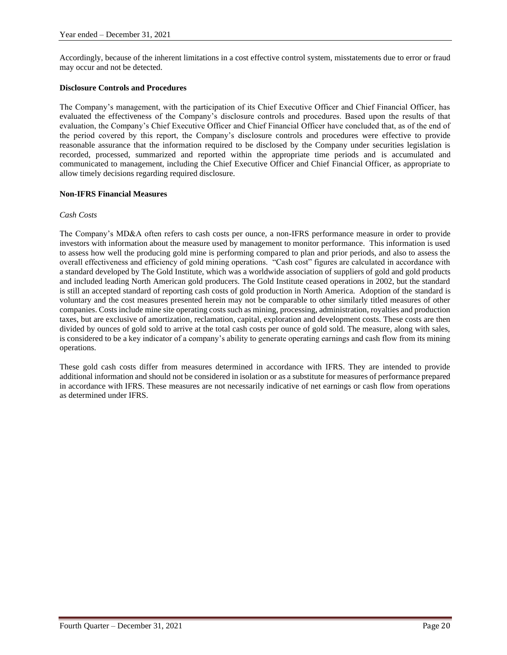Accordingly, because of the inherent limitations in a cost effective control system, misstatements due to error or fraud may occur and not be detected.

#### **Disclosure Controls and Procedures**

The Company's management, with the participation of its Chief Executive Officer and Chief Financial Officer, has evaluated the effectiveness of the Company's disclosure controls and procedures. Based upon the results of that evaluation, the Company's Chief Executive Officer and Chief Financial Officer have concluded that, as of the end of the period covered by this report, the Company's disclosure controls and procedures were effective to provide reasonable assurance that the information required to be disclosed by the Company under securities legislation is recorded, processed, summarized and reported within the appropriate time periods and is accumulated and communicated to management, including the Chief Executive Officer and Chief Financial Officer, as appropriate to allow timely decisions regarding required disclosure.

#### **Non-IFRS Financial Measures**

#### *Cash Costs*

The Company's MD&A often refers to cash costs per ounce, a non-IFRS performance measure in order to provide investors with information about the measure used by management to monitor performance. This information is used to assess how well the producing gold mine is performing compared to plan and prior periods, and also to assess the overall effectiveness and efficiency of gold mining operations. "Cash cost" figures are calculated in accordance with a standard developed by The Gold Institute, which was a worldwide association of suppliers of gold and gold products and included leading North American gold producers. The Gold Institute ceased operations in 2002, but the standard is still an accepted standard of reporting cash costs of gold production in North America. Adoption of the standard is voluntary and the cost measures presented herein may not be comparable to other similarly titled measures of other companies. Costs include mine site operating costs such as mining, processing, administration, royalties and production taxes, but are exclusive of amortization, reclamation, capital, exploration and development costs. These costs are then divided by ounces of gold sold to arrive at the total cash costs per ounce of gold sold. The measure, along with sales, is considered to be a key indicator of a company's ability to generate operating earnings and cash flow from its mining operations.

These gold cash costs differ from measures determined in accordance with IFRS. They are intended to provide additional information and should not be considered in isolation or as a substitute for measures of performance prepared in accordance with IFRS. These measures are not necessarily indicative of net earnings or cash flow from operations as determined under IFRS.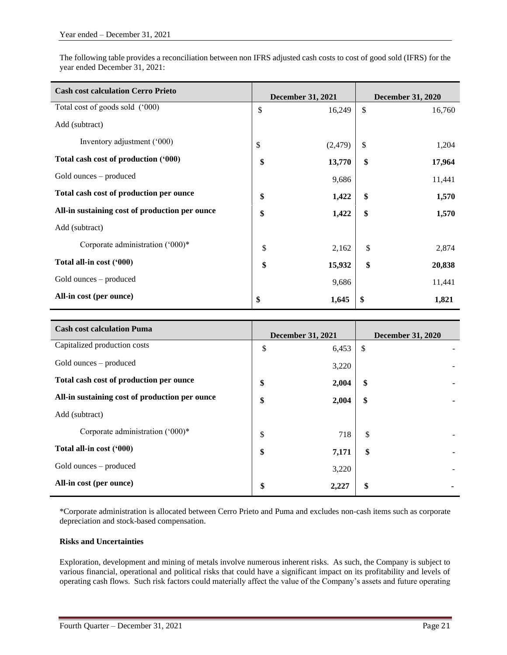The following table provides a reconciliation between non IFRS adjusted cash costs to cost of good sold (IFRS) for the year ended December 31, 2021:

| <b>Cash cost calculation Cerro Prieto</b>      | <b>December 31, 2021</b> |          | <b>December 31, 2020</b> |        |
|------------------------------------------------|--------------------------|----------|--------------------------|--------|
| Total cost of goods sold ('000)                | \$                       | 16,249   | \$                       | 16,760 |
| Add (subtract)                                 |                          |          |                          |        |
| Inventory adjustment ('000)                    | \$                       | (2, 479) | \$                       | 1,204  |
| Total cash cost of production ('000)           | \$                       | 13,770   | \$                       | 17,964 |
| Gold ounces – produced                         |                          | 9,686    |                          | 11,441 |
| Total cash cost of production per ounce        | \$                       | 1,422    | \$                       | 1,570  |
| All-in sustaining cost of production per ounce | \$                       | 1,422    | \$                       | 1,570  |
| Add (subtract)                                 |                          |          |                          |        |
| Corporate administration ('000)*               | \$                       | 2,162    | \$                       | 2,874  |
| Total all-in cost ('000)                       | \$                       | 15,932   | \$                       | 20,838 |
| Gold ounces – produced                         |                          | 9,686    |                          | 11,441 |
| All-in cost (per ounce)                        | \$                       | 1,645    | \$                       | 1,821  |

| <b>Cash cost calculation Puma</b>              | <b>December 31, 2021</b> |       | <b>December 31, 2020</b> |  |
|------------------------------------------------|--------------------------|-------|--------------------------|--|
| Capitalized production costs                   | \$                       | 6,453 | \$                       |  |
| Gold ounces – produced                         |                          | 3,220 |                          |  |
| Total cash cost of production per ounce        | \$                       | 2,004 | \$                       |  |
| All-in sustaining cost of production per ounce | \$                       | 2,004 | \$                       |  |
| Add (subtract)                                 |                          |       |                          |  |
| Corporate administration ('000)*               | \$                       | 718   | \$                       |  |
| Total all-in cost ('000)                       | \$                       | 7,171 | \$                       |  |
| Gold ounces – produced                         |                          | 3,220 |                          |  |
| All-in cost (per ounce)                        | \$                       | 2,227 | \$                       |  |

\*Corporate administration is allocated between Cerro Prieto and Puma and excludes non-cash items such as corporate depreciation and stock-based compensation.

# **Risks and Uncertainties**

Exploration, development and mining of metals involve numerous inherent risks. As such, the Company is subject to various financial, operational and political risks that could have a significant impact on its profitability and levels of operating cash flows. Such risk factors could materially affect the value of the Company's assets and future operating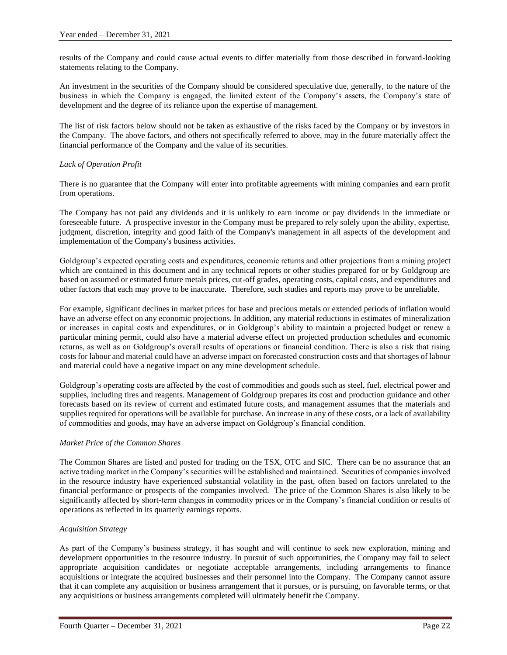results of the Company and could cause actual events to differ materially from those described in forward-looking statements relating to the Company.

An investment in the securities of the Company should be considered speculative due, generally, to the nature of the business in which the Company is engaged, the limited extent of the Company's assets, the Company's state of development and the degree of its reliance upon the expertise of management.

The list of risk factors below should not be taken as exhaustive of the risks faced by the Company or by investors in the Company. The above factors, and others not specifically referred to above, may in the future materially affect the financial performance of the Company and the value of its securities.

# *Lack of Operation Profit*

There is no guarantee that the Company will enter into profitable agreements with mining companies and earn profit from operations.

The Company has not paid any dividends and it is unlikely to earn income or pay dividends in the immediate or foreseeable future. A prospective investor in the Company must be prepared to rely solely upon the ability, expertise, judgment, discretion, integrity and good faith of the Company's management in all aspects of the development and implementation of the Company's business activities.

Goldgroup's expected operating costs and expenditures, economic returns and other projections from a mining project which are contained in this document and in any technical reports or other studies prepared for or by Goldgroup are based on assumed or estimated future metals prices, cut-off grades, operating costs, capital costs, and expenditures and other factors that each may prove to be inaccurate. Therefore, such studies and reports may prove to be unreliable.

For example, significant declines in market prices for base and precious metals or extended periods of inflation would have an adverse effect on any economic projections. In addition, any material reductions in estimates of mineralization or increases in capital costs and expenditures, or in Goldgroup's ability to maintain a projected budget or renew a particular mining permit, could also have a material adverse effect on projected production schedules and economic returns, as well as on Goldgroup's overall results of operations or financial condition. There is also a risk that rising costs for labour and material could have an adverse impact on forecasted construction costs and that shortages of labour and material could have a negative impact on any mine development schedule.

Goldgroup's operating costs are affected by the cost of commodities and goods such as steel, fuel, electrical power and supplies, including tires and reagents. Management of Goldgroup prepares its cost and production guidance and other forecasts based on its review of current and estimated future costs, and management assumes that the materials and supplies required for operations will be available for purchase. An increase in any of these costs, or a lack of availability of commodities and goods, may have an adverse impact on Goldgroup's financial condition.

# *Market Price of the Common Shares*

The Common Shares are listed and posted for trading on the TSX, OTC and SIC. There can be no assurance that an active trading market in the Company's securities will be established and maintained. Securities of companies involved in the resource industry have experienced substantial volatility in the past, often based on factors unrelated to the financial performance or prospects of the companies involved. The price of the Common Shares is also likely to be significantly affected by short-term changes in commodity prices or in the Company's financial condition or results of operations as reflected in its quarterly earnings reports.

# *Acquisition Strategy*

As part of the Company's business strategy, it has sought and will continue to seek new exploration, mining and development opportunities in the resource industry. In pursuit of such opportunities, the Company may fail to select appropriate acquisition candidates or negotiate acceptable arrangements, including arrangements to finance acquisitions or integrate the acquired businesses and their personnel into the Company. The Company cannot assure that it can complete any acquisition or business arrangement that it pursues, or is pursuing, on favorable terms, or that any acquisitions or business arrangements completed will ultimately benefit the Company.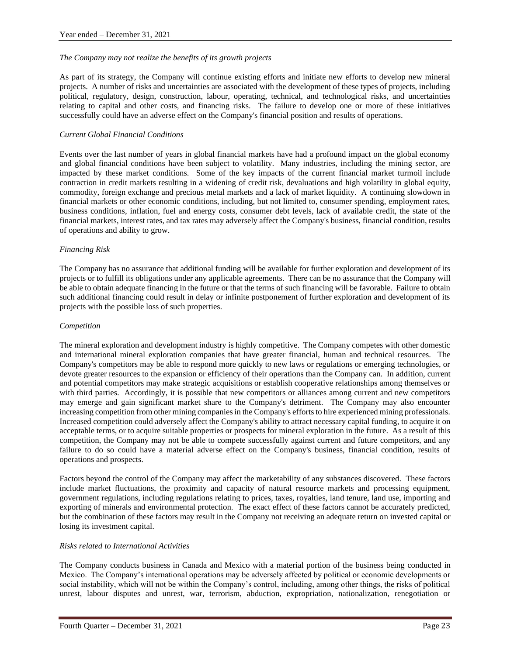#### *The Company may not realize the benefits of its growth projects*

As part of its strategy, the Company will continue existing efforts and initiate new efforts to develop new mineral projects. A number of risks and uncertainties are associated with the development of these types of projects, including political, regulatory, design, construction, labour, operating, technical, and technological risks, and uncertainties relating to capital and other costs, and financing risks. The failure to develop one or more of these initiatives successfully could have an adverse effect on the Company's financial position and results of operations.

#### *Current Global Financial Conditions*

Events over the last number of years in global financial markets have had a profound impact on the global economy and global financial conditions have been subject to volatility. Many industries, including the mining sector, are impacted by these market conditions. Some of the key impacts of the current financial market turmoil include contraction in credit markets resulting in a widening of credit risk, devaluations and high volatility in global equity, commodity, foreign exchange and precious metal markets and a lack of market liquidity. A continuing slowdown in financial markets or other economic conditions, including, but not limited to, consumer spending, employment rates, business conditions, inflation, fuel and energy costs, consumer debt levels, lack of available credit, the state of the financial markets, interest rates, and tax rates may adversely affect the Company's business, financial condition, results of operations and ability to grow.

#### *Financing Risk*

The Company has no assurance that additional funding will be available for further exploration and development of its projects or to fulfill its obligations under any applicable agreements. There can be no assurance that the Company will be able to obtain adequate financing in the future or that the terms of such financing will be favorable. Failure to obtain such additional financing could result in delay or infinite postponement of further exploration and development of its projects with the possible loss of such properties.

#### *Competition*

The mineral exploration and development industry is highly competitive. The Company competes with other domestic and international mineral exploration companies that have greater financial, human and technical resources. The Company's competitors may be able to respond more quickly to new laws or regulations or emerging technologies, or devote greater resources to the expansion or efficiency of their operations than the Company can. In addition, current and potential competitors may make strategic acquisitions or establish cooperative relationships among themselves or with third parties. Accordingly, it is possible that new competitors or alliances among current and new competitors may emerge and gain significant market share to the Company's detriment. The Company may also encounter increasing competition from other mining companies in the Company's efforts to hire experienced mining professionals. Increased competition could adversely affect the Company's ability to attract necessary capital funding, to acquire it on acceptable terms, or to acquire suitable properties or prospects for mineral exploration in the future. As a result of this competition, the Company may not be able to compete successfully against current and future competitors, and any failure to do so could have a material adverse effect on the Company's business, financial condition, results of operations and prospects.

Factors beyond the control of the Company may affect the marketability of any substances discovered. These factors include market fluctuations, the proximity and capacity of natural resource markets and processing equipment, government regulations, including regulations relating to prices, taxes, royalties, land tenure, land use, importing and exporting of minerals and environmental protection. The exact effect of these factors cannot be accurately predicted, but the combination of these factors may result in the Company not receiving an adequate return on invested capital or losing its investment capital.

#### *Risks related to International Activities*

The Company conducts business in Canada and Mexico with a material portion of the business being conducted in Mexico. The Company's international operations may be adversely affected by political or economic developments or social instability, which will not be within the Company's control, including, among other things, the risks of political unrest, labour disputes and unrest, war, terrorism, abduction, expropriation, nationalization, renegotiation or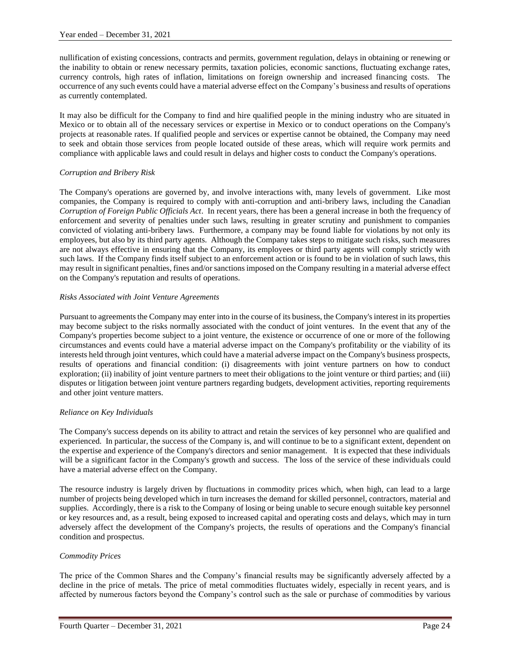nullification of existing concessions, contracts and permits, government regulation, delays in obtaining or renewing or the inability to obtain or renew necessary permits, taxation policies, economic sanctions, fluctuating exchange rates, currency controls, high rates of inflation, limitations on foreign ownership and increased financing costs. The occurrence of any such events could have a material adverse effect on the Company's business and results of operations as currently contemplated.

It may also be difficult for the Company to find and hire qualified people in the mining industry who are situated in Mexico or to obtain all of the necessary services or expertise in Mexico or to conduct operations on the Company's projects at reasonable rates. If qualified people and services or expertise cannot be obtained, the Company may need to seek and obtain those services from people located outside of these areas, which will require work permits and compliance with applicable laws and could result in delays and higher costs to conduct the Company's operations.

# *Corruption and Bribery Risk*

The Company's operations are governed by, and involve interactions with, many levels of government. Like most companies, the Company is required to comply with anti-corruption and anti-bribery laws, including the Canadian *Corruption of Foreign Public Officials Act*. In recent years, there has been a general increase in both the frequency of enforcement and severity of penalties under such laws, resulting in greater scrutiny and punishment to companies convicted of violating anti-bribery laws. Furthermore, a company may be found liable for violations by not only its employees, but also by its third party agents. Although the Company takes steps to mitigate such risks, such measures are not always effective in ensuring that the Company, its employees or third party agents will comply strictly with such laws. If the Company finds itself subject to an enforcement action or is found to be in violation of such laws, this may result in significant penalties, fines and/or sanctions imposed on the Company resulting in a material adverse effect on the Company's reputation and results of operations.

#### *Risks Associated with Joint Venture Agreements*

Pursuant to agreements the Company may enter into in the course of its business, the Company's interest in its properties may become subject to the risks normally associated with the conduct of joint ventures. In the event that any of the Company's properties become subject to a joint venture, the existence or occurrence of one or more of the following circumstances and events could have a material adverse impact on the Company's profitability or the viability of its interests held through joint ventures, which could have a material adverse impact on the Company's business prospects, results of operations and financial condition: (i) disagreements with joint venture partners on how to conduct exploration; (ii) inability of joint venture partners to meet their obligations to the joint venture or third parties; and (iii) disputes or litigation between joint venture partners regarding budgets, development activities, reporting requirements and other joint venture matters.

#### *Reliance on Key Individuals*

The Company's success depends on its ability to attract and retain the services of key personnel who are qualified and experienced. In particular, the success of the Company is, and will continue to be to a significant extent, dependent on the expertise and experience of the Company's directors and senior management. It is expected that these individuals will be a significant factor in the Company's growth and success. The loss of the service of these individuals could have a material adverse effect on the Company.

The resource industry is largely driven by fluctuations in commodity prices which, when high, can lead to a large number of projects being developed which in turn increases the demand for skilled personnel, contractors, material and supplies. Accordingly, there is a risk to the Company of losing or being unable to secure enough suitable key personnel or key resources and, as a result, being exposed to increased capital and operating costs and delays, which may in turn adversely affect the development of the Company's projects, the results of operations and the Company's financial condition and prospectus.

# *Commodity Prices*

The price of the Common Shares and the Company's financial results may be significantly adversely affected by a decline in the price of metals. The price of metal commodities fluctuates widely, especially in recent years, and is affected by numerous factors beyond the Company's control such as the sale or purchase of commodities by various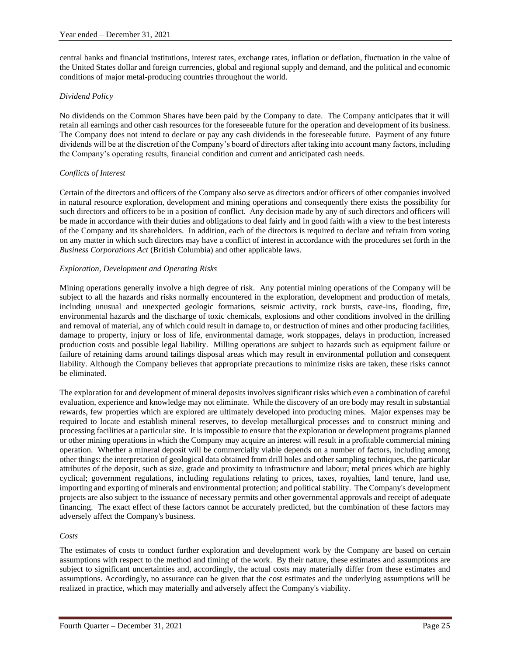central banks and financial institutions, interest rates, exchange rates, inflation or deflation, fluctuation in the value of the United States dollar and foreign currencies, global and regional supply and demand, and the political and economic conditions of major metal-producing countries throughout the world.

# *Dividend Policy*

No dividends on the Common Shares have been paid by the Company to date. The Company anticipates that it will retain all earnings and other cash resources for the foreseeable future for the operation and development of its business. The Company does not intend to declare or pay any cash dividends in the foreseeable future. Payment of any future dividends will be at the discretion of the Company's board of directors after taking into account many factors, including the Company's operating results, financial condition and current and anticipated cash needs.

# *Conflicts of Interest*

Certain of the directors and officers of the Company also serve as directors and/or officers of other companies involved in natural resource exploration, development and mining operations and consequently there exists the possibility for such directors and officers to be in a position of conflict. Any decision made by any of such directors and officers will be made in accordance with their duties and obligations to deal fairly and in good faith with a view to the best interests of the Company and its shareholders. In addition, each of the directors is required to declare and refrain from voting on any matter in which such directors may have a conflict of interest in accordance with the procedures set forth in the *Business Corporations Act* (British Columbia) and other applicable laws.

# *Exploration, Development and Operating Risks*

Mining operations generally involve a high degree of risk. Any potential mining operations of the Company will be subject to all the hazards and risks normally encountered in the exploration, development and production of metals, including unusual and unexpected geologic formations, seismic activity, rock bursts, cave-ins, flooding, fire, environmental hazards and the discharge of toxic chemicals, explosions and other conditions involved in the drilling and removal of material, any of which could result in damage to, or destruction of mines and other producing facilities, damage to property, injury or loss of life, environmental damage, work stoppages, delays in production, increased production costs and possible legal liability. Milling operations are subject to hazards such as equipment failure or failure of retaining dams around tailings disposal areas which may result in environmental pollution and consequent liability. Although the Company believes that appropriate precautions to minimize risks are taken, these risks cannot be eliminated.

The exploration for and development of mineral deposits involves significant risks which even a combination of careful evaluation, experience and knowledge may not eliminate. While the discovery of an ore body may result in substantial rewards, few properties which are explored are ultimately developed into producing mines. Major expenses may be required to locate and establish mineral reserves, to develop metallurgical processes and to construct mining and processing facilities at a particular site. It is impossible to ensure that the exploration or development programs planned or other mining operations in which the Company may acquire an interest will result in a profitable commercial mining operation. Whether a mineral deposit will be commercially viable depends on a number of factors, including among other things: the interpretation of geological data obtained from drill holes and other sampling techniques, the particular attributes of the deposit, such as size, grade and proximity to infrastructure and labour; metal prices which are highly cyclical; government regulations, including regulations relating to prices, taxes, royalties, land tenure, land use, importing and exporting of minerals and environmental protection; and political stability. The Company's development projects are also subject to the issuance of necessary permits and other governmental approvals and receipt of adequate financing. The exact effect of these factors cannot be accurately predicted, but the combination of these factors may adversely affect the Company's business.

# *Costs*

The estimates of costs to conduct further exploration and development work by the Company are based on certain assumptions with respect to the method and timing of the work. By their nature, these estimates and assumptions are subject to significant uncertainties and, accordingly, the actual costs may materially differ from these estimates and assumptions. Accordingly, no assurance can be given that the cost estimates and the underlying assumptions will be realized in practice, which may materially and adversely affect the Company's viability.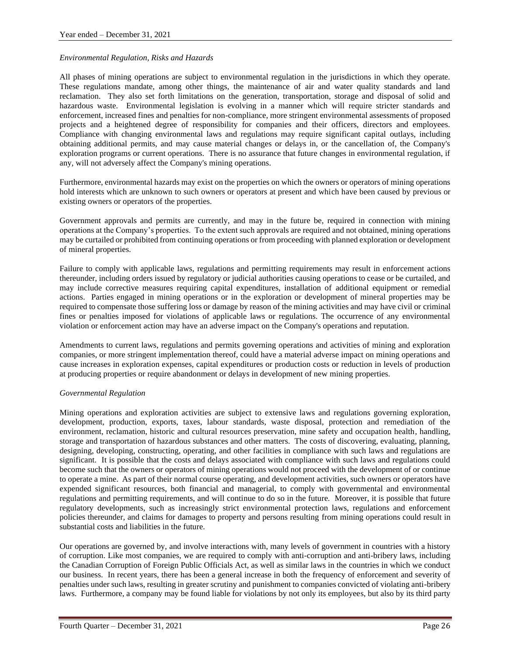#### *Environmental Regulation, Risks and Hazards*

All phases of mining operations are subject to environmental regulation in the jurisdictions in which they operate. These regulations mandate, among other things, the maintenance of air and water quality standards and land reclamation. They also set forth limitations on the generation, transportation, storage and disposal of solid and hazardous waste. Environmental legislation is evolving in a manner which will require stricter standards and enforcement, increased fines and penalties for non-compliance, more stringent environmental assessments of proposed projects and a heightened degree of responsibility for companies and their officers, directors and employees. Compliance with changing environmental laws and regulations may require significant capital outlays, including obtaining additional permits, and may cause material changes or delays in, or the cancellation of, the Company's exploration programs or current operations. There is no assurance that future changes in environmental regulation, if any, will not adversely affect the Company's mining operations.

Furthermore, environmental hazards may exist on the properties on which the owners or operators of mining operations hold interests which are unknown to such owners or operators at present and which have been caused by previous or existing owners or operators of the properties.

Government approvals and permits are currently, and may in the future be, required in connection with mining operations at the Company's properties. To the extent such approvals are required and not obtained, mining operations may be curtailed or prohibited from continuing operations or from proceeding with planned exploration or development of mineral properties.

Failure to comply with applicable laws, regulations and permitting requirements may result in enforcement actions thereunder, including orders issued by regulatory or judicial authorities causing operations to cease or be curtailed, and may include corrective measures requiring capital expenditures, installation of additional equipment or remedial actions. Parties engaged in mining operations or in the exploration or development of mineral properties may be required to compensate those suffering loss or damage by reason of the mining activities and may have civil or criminal fines or penalties imposed for violations of applicable laws or regulations. The occurrence of any environmental violation or enforcement action may have an adverse impact on the Company's operations and reputation.

Amendments to current laws, regulations and permits governing operations and activities of mining and exploration companies, or more stringent implementation thereof, could have a material adverse impact on mining operations and cause increases in exploration expenses, capital expenditures or production costs or reduction in levels of production at producing properties or require abandonment or delays in development of new mining properties.

#### *Governmental Regulation*

Mining operations and exploration activities are subject to extensive laws and regulations governing exploration, development, production, exports, taxes, labour standards, waste disposal, protection and remediation of the environment, reclamation, historic and cultural resources preservation, mine safety and occupation health, handling, storage and transportation of hazardous substances and other matters. The costs of discovering, evaluating, planning, designing, developing, constructing, operating, and other facilities in compliance with such laws and regulations are significant. It is possible that the costs and delays associated with compliance with such laws and regulations could become such that the owners or operators of mining operations would not proceed with the development of or continue to operate a mine. As part of their normal course operating, and development activities, such owners or operators have expended significant resources, both financial and managerial, to comply with governmental and environmental regulations and permitting requirements, and will continue to do so in the future. Moreover, it is possible that future regulatory developments, such as increasingly strict environmental protection laws, regulations and enforcement policies thereunder, and claims for damages to property and persons resulting from mining operations could result in substantial costs and liabilities in the future.

Our operations are governed by, and involve interactions with, many levels of government in countries with a history of corruption. Like most companies, we are required to comply with anti-corruption and anti-bribery laws, including the Canadian Corruption of Foreign Public Officials Act, as well as similar laws in the countries in which we conduct our business. In recent years, there has been a general increase in both the frequency of enforcement and severity of penalties under such laws, resulting in greater scrutiny and punishment to companies convicted of violating anti-bribery laws. Furthermore, a company may be found liable for violations by not only its employees, but also by its third party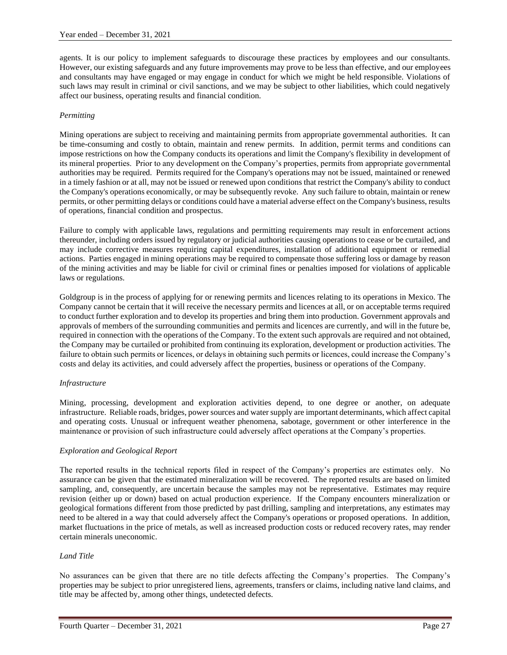agents. It is our policy to implement safeguards to discourage these practices by employees and our consultants. However, our existing safeguards and any future improvements may prove to be less than effective, and our employees and consultants may have engaged or may engage in conduct for which we might be held responsible. Violations of such laws may result in criminal or civil sanctions, and we may be subject to other liabilities, which could negatively affect our business, operating results and financial condition.

# *Permitting*

Mining operations are subject to receiving and maintaining permits from appropriate governmental authorities. It can be time-consuming and costly to obtain, maintain and renew permits. In addition, permit terms and conditions can impose restrictions on how the Company conducts its operations and limit the Company's flexibility in development of its mineral properties. Prior to any development on the Company's properties, permits from appropriate governmental authorities may be required. Permits required for the Company's operations may not be issued, maintained or renewed in a timely fashion or at all, may not be issued or renewed upon conditions that restrict the Company's ability to conduct the Company's operations economically, or may be subsequently revoke. Any such failure to obtain, maintain or renew permits, or other permitting delays or conditions could have a material adverse effect on the Company's business, results of operations, financial condition and prospectus.

Failure to comply with applicable laws, regulations and permitting requirements may result in enforcement actions thereunder, including orders issued by regulatory or judicial authorities causing operations to cease or be curtailed, and may include corrective measures requiring capital expenditures, installation of additional equipment or remedial actions. Parties engaged in mining operations may be required to compensate those suffering loss or damage by reason of the mining activities and may be liable for civil or criminal fines or penalties imposed for violations of applicable laws or regulations.

Goldgroup is in the process of applying for or renewing permits and licences relating to its operations in Mexico. The Company cannot be certain that it will receive the necessary permits and licences at all, or on acceptable terms required to conduct further exploration and to develop its properties and bring them into production. Government approvals and approvals of members of the surrounding communities and permits and licences are currently, and will in the future be, required in connection with the operations of the Company. To the extent such approvals are required and not obtained, the Company may be curtailed or prohibited from continuing its exploration, development or production activities. The failure to obtain such permits or licences, or delays in obtaining such permits or licences, could increase the Company's costs and delay its activities, and could adversely affect the properties, business or operations of the Company.

# *Infrastructure*

Mining, processing, development and exploration activities depend, to one degree or another, on adequate infrastructure. Reliable roads, bridges, power sources and water supply are important determinants, which affect capital and operating costs. Unusual or infrequent weather phenomena, sabotage, government or other interference in the maintenance or provision of such infrastructure could adversely affect operations at the Company's properties.

# *Exploration and Geological Report*

The reported results in the technical reports filed in respect of the Company's properties are estimates only. No assurance can be given that the estimated mineralization will be recovered. The reported results are based on limited sampling, and, consequently, are uncertain because the samples may not be representative. Estimates may require revision (either up or down) based on actual production experience. If the Company encounters mineralization or geological formations different from those predicted by past drilling, sampling and interpretations, any estimates may need to be altered in a way that could adversely affect the Company's operations or proposed operations. In addition, market fluctuations in the price of metals, as well as increased production costs or reduced recovery rates, may render certain minerals uneconomic.

#### *Land Title*

No assurances can be given that there are no title defects affecting the Company's properties. The Company's properties may be subject to prior unregistered liens, agreements, transfers or claims, including native land claims, and title may be affected by, among other things, undetected defects.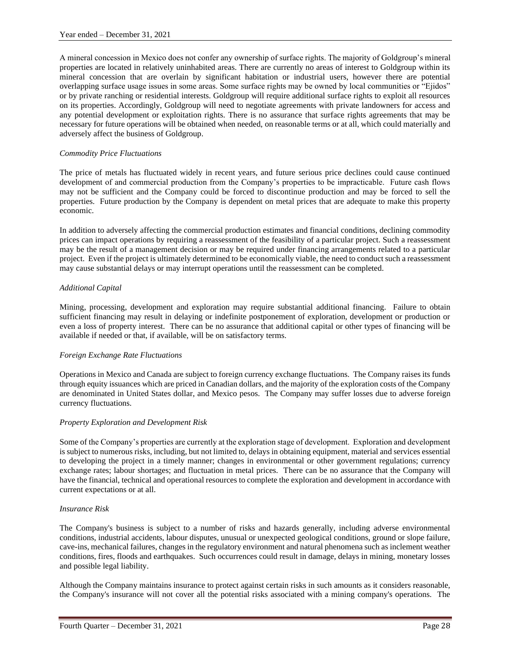A mineral concession in Mexico does not confer any ownership of surface rights. The majority of Goldgroup's mineral properties are located in relatively uninhabited areas. There are currently no areas of interest to Goldgroup within its mineral concession that are overlain by significant habitation or industrial users, however there are potential overlapping surface usage issues in some areas. Some surface rights may be owned by local communities or "Ejidos" or by private ranching or residential interests. Goldgroup will require additional surface rights to exploit all resources on its properties. Accordingly, Goldgroup will need to negotiate agreements with private landowners for access and any potential development or exploitation rights. There is no assurance that surface rights agreements that may be necessary for future operations will be obtained when needed, on reasonable terms or at all, which could materially and adversely affect the business of Goldgroup.

#### *Commodity Price Fluctuations*

The price of metals has fluctuated widely in recent years, and future serious price declines could cause continued development of and commercial production from the Company's properties to be impracticable. Future cash flows may not be sufficient and the Company could be forced to discontinue production and may be forced to sell the properties. Future production by the Company is dependent on metal prices that are adequate to make this property economic.

In addition to adversely affecting the commercial production estimates and financial conditions, declining commodity prices can impact operations by requiring a reassessment of the feasibility of a particular project. Such a reassessment may be the result of a management decision or may be required under financing arrangements related to a particular project. Even if the project is ultimately determined to be economically viable, the need to conduct such a reassessment may cause substantial delays or may interrupt operations until the reassessment can be completed.

#### *Additional Capital*

Mining, processing, development and exploration may require substantial additional financing. Failure to obtain sufficient financing may result in delaying or indefinite postponement of exploration, development or production or even a loss of property interest. There can be no assurance that additional capital or other types of financing will be available if needed or that, if available, will be on satisfactory terms.

# *Foreign Exchange Rate Fluctuations*

Operations in Mexico and Canada are subject to foreign currency exchange fluctuations. The Company raises its funds through equity issuances which are priced in Canadian dollars, and the majority of the exploration costs of the Company are denominated in United States dollar, and Mexico pesos. The Company may suffer losses due to adverse foreign currency fluctuations.

# *Property Exploration and Development Risk*

Some of the Company's properties are currently at the exploration stage of development. Exploration and development is subject to numerous risks, including, but not limited to, delays in obtaining equipment, material and services essential to developing the project in a timely manner; changes in environmental or other government regulations; currency exchange rates; labour shortages; and fluctuation in metal prices. There can be no assurance that the Company will have the financial, technical and operational resources to complete the exploration and development in accordance with current expectations or at all.

#### *Insurance Risk*

The Company's business is subject to a number of risks and hazards generally, including adverse environmental conditions, industrial accidents, labour disputes, unusual or unexpected geological conditions, ground or slope failure, cave-ins, mechanical failures, changes in the regulatory environment and natural phenomena such as inclement weather conditions, fires, floods and earthquakes. Such occurrences could result in damage, delays in mining, monetary losses and possible legal liability.

Although the Company maintains insurance to protect against certain risks in such amounts as it considers reasonable, the Company's insurance will not cover all the potential risks associated with a mining company's operations. The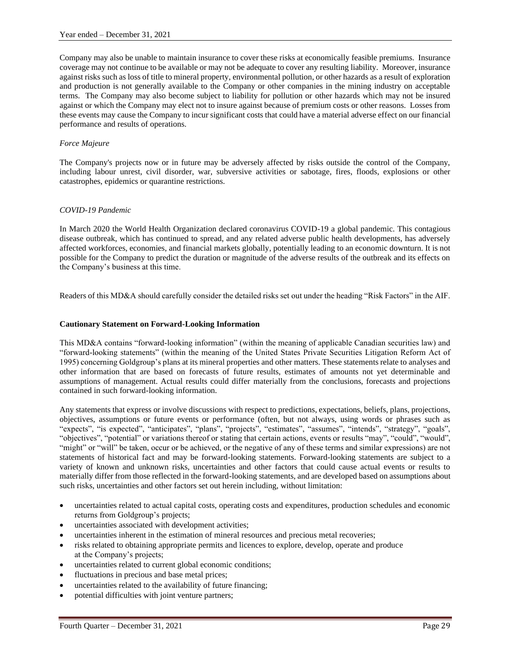Company may also be unable to maintain insurance to cover these risks at economically feasible premiums. Insurance coverage may not continue to be available or may not be adequate to cover any resulting liability. Moreover, insurance against risks such as loss of title to mineral property, environmental pollution, or other hazards as a result of exploration and production is not generally available to the Company or other companies in the mining industry on acceptable terms. The Company may also become subject to liability for pollution or other hazards which may not be insured against or which the Company may elect not to insure against because of premium costs or other reasons. Losses from these events may cause the Company to incur significant costs that could have a material adverse effect on our financial performance and results of operations.

# *Force Majeure*

The Company's projects now or in future may be adversely affected by risks outside the control of the Company, including labour unrest, civil disorder, war, subversive activities or sabotage, fires, floods, explosions or other catastrophes, epidemics or quarantine restrictions.

#### *COVID-19 Pandemic*

In March 2020 the World Health Organization declared coronavirus COVID-19 a global pandemic. This contagious disease outbreak, which has continued to spread, and any related adverse public health developments, has adversely affected workforces, economies, and financial markets globally, potentially leading to an economic downturn. It is not possible for the Company to predict the duration or magnitude of the adverse results of the outbreak and its effects on the Company's business at this time.

Readers of this MD&A should carefully consider the detailed risks set out under the heading "Risk Factors" in the AIF.

#### **Cautionary Statement on Forward-Looking Information**

This MD&A contains "forward-looking information" (within the meaning of applicable Canadian securities law) and "forward-looking statements" (within the meaning of the United States Private Securities Litigation Reform Act of 1995) concerning Goldgroup's plans at its mineral properties and other matters. These statements relate to analyses and other information that are based on forecasts of future results, estimates of amounts not yet determinable and assumptions of management. Actual results could differ materially from the conclusions, forecasts and projections contained in such forward-looking information.

Any statements that express or involve discussions with respect to predictions, expectations, beliefs, plans, projections, objectives, assumptions or future events or performance (often, but not always, using words or phrases such as "expects", "is expected", "anticipates", "plans", "projects", "estimates", "assumes", "intends", "strategy", "goals", "objectives", "potential" or variations thereof or stating that certain actions, events or results "may", "could", "would", "might" or "will" be taken, occur or be achieved, or the negative of any of these terms and similar expressions) are not statements of historical fact and may be forward-looking statements. Forward-looking statements are subject to a variety of known and unknown risks, uncertainties and other factors that could cause actual events or results to materially differ from those reflected in the forward-looking statements, and are developed based on assumptions about such risks, uncertainties and other factors set out herein including, without limitation:

- uncertainties related to actual capital costs, operating costs and expenditures, production schedules and economic returns from Goldgroup's projects;
- uncertainties associated with development activities;
- uncertainties inherent in the estimation of mineral resources and precious metal recoveries;
- risks related to obtaining appropriate permits and licences to explore, develop, operate and produce at the Company's projects;
- uncertainties related to current global economic conditions;
- fluctuations in precious and base metal prices;
- uncertainties related to the availability of future financing;
- potential difficulties with joint venture partners;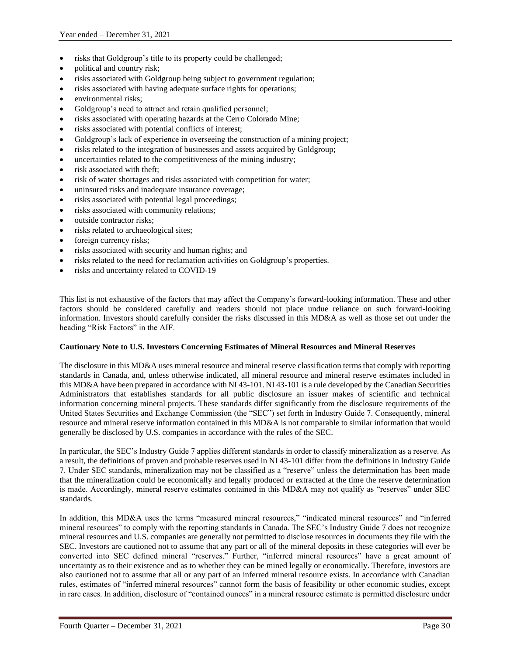- risks that Goldgroup's title to its property could be challenged;
- political and country risk;
- risks associated with Goldgroup being subject to government regulation;
- risks associated with having adequate surface rights for operations;
- environmental risks;
- Goldgroup's need to attract and retain qualified personnel;
- risks associated with operating hazards at the Cerro Colorado Mine;
- risks associated with potential conflicts of interest;
- Goldgroup's lack of experience in overseeing the construction of a mining project;
- risks related to the integration of businesses and assets acquired by Goldgroup;
- uncertainties related to the competitiveness of the mining industry;
- risk associated with theft;
- risk of water shortages and risks associated with competition for water;
- uninsured risks and inadequate insurance coverage;
- risks associated with potential legal proceedings;
- risks associated with community relations;
- outside contractor risks;
- risks related to archaeological sites;
- foreign currency risks;
- risks associated with security and human rights; and
- risks related to the need for reclamation activities on Goldgroup's properties.
- risks and uncertainty related to COVID-19

This list is not exhaustive of the factors that may affect the Company's forward-looking information. These and other factors should be considered carefully and readers should not place undue reliance on such forward-looking information. Investors should carefully consider the risks discussed in this MD&A as well as those set out under the heading "Risk Factors" in the AIF.

#### **Cautionary Note to U.S. Investors Concerning Estimates of Mineral Resources and Mineral Reserves**

The disclosure in this MD&A uses mineral resource and mineral reserve classification terms that comply with reporting standards in Canada, and, unless otherwise indicated, all mineral resource and mineral reserve estimates included in this MD&A have been prepared in accordance with NI 43-101. NI 43-101 is a rule developed by the Canadian Securities Administrators that establishes standards for all public disclosure an issuer makes of scientific and technical information concerning mineral projects. These standards differ significantly from the disclosure requirements of the United States Securities and Exchange Commission (the "SEC") set forth in Industry Guide 7. Consequently, mineral resource and mineral reserve information contained in this MD&A is not comparable to similar information that would generally be disclosed by U.S. companies in accordance with the rules of the SEC.

In particular, the SEC's Industry Guide 7 applies different standards in order to classify mineralization as a reserve. As a result, the definitions of proven and probable reserves used in NI 43-101 differ from the definitions in Industry Guide 7. Under SEC standards, mineralization may not be classified as a "reserve" unless the determination has been made that the mineralization could be economically and legally produced or extracted at the time the reserve determination is made. Accordingly, mineral reserve estimates contained in this MD&A may not qualify as "reserves" under SEC standards.

In addition, this MD&A uses the terms "measured mineral resources," "indicated mineral resources" and "inferred mineral resources" to comply with the reporting standards in Canada. The SEC's Industry Guide 7 does not recognize mineral resources and U.S. companies are generally not permitted to disclose resources in documents they file with the SEC. Investors are cautioned not to assume that any part or all of the mineral deposits in these categories will ever be converted into SEC defined mineral "reserves." Further, "inferred mineral resources" have a great amount of uncertainty as to their existence and as to whether they can be mined legally or economically. Therefore, investors are also cautioned not to assume that all or any part of an inferred mineral resource exists. In accordance with Canadian rules, estimates of "inferred mineral resources" cannot form the basis of feasibility or other economic studies, except in rare cases. In addition, disclosure of "contained ounces" in a mineral resource estimate is permitted disclosure under